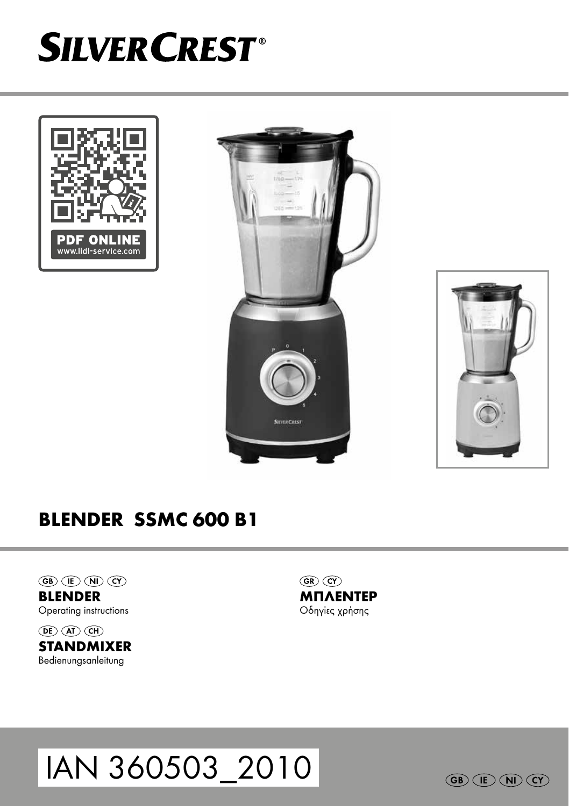# **SILVER CREST®**





![](_page_0_Picture_3.jpeg)

## BLENDER SSMC 600 B1

 $\left(\overline{\mathsf{GB}}\right)\left(\overline{\mathsf{IE}}\right)\left(\overline{\mathsf{N}\mathsf{I}}\right)\left(\overline{\mathsf{CY}}\right)$ 

BLENDER Operating instructions

 $\left(\overline{\mathsf{DE}}\right)\left(\overline{\mathsf{A}\mathsf{T}}\right)\left(\overline{\mathsf{CH}}\right)$ 

STANDMIXER Bedienungsanleitung

 $\binom{GR}{C}$ 

ΜΠΛΈΝΤΕΡ Οδηүίες χρήσης

![](_page_0_Picture_11.jpeg)

![](_page_0_Picture_12.jpeg)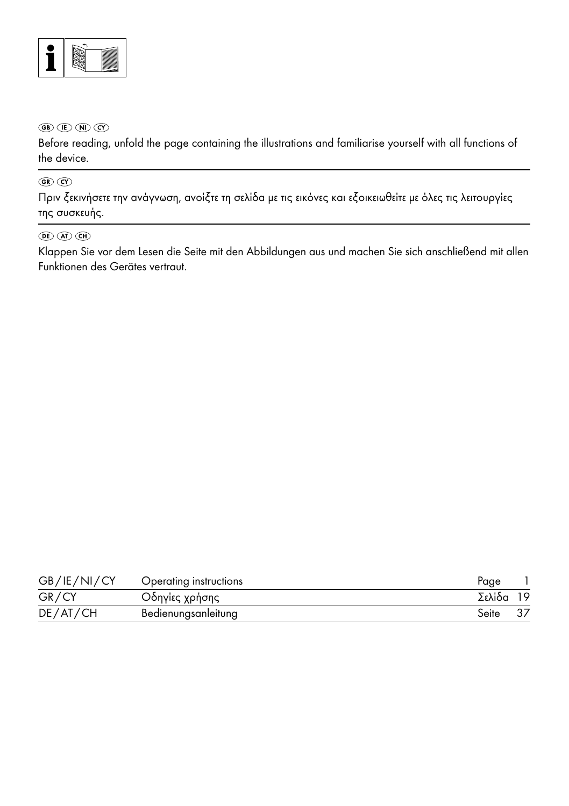![](_page_1_Picture_0.jpeg)

 $\times$  (E) (N)  $\times$ 

Before reading, unfold the page containing the illustrations and familiarise yourself with all functions of the device.

#### $\overline{GR}$   $\overline{CY}$

Πριν ξεκινήσετε την ανάγνωση, ανοίξτε τη σελίδα με τις εικόνες και εξοικειωθείτε με όλες τις λειτουργίες της συσκευής.

#### $\circledR$   $\circledR$

Klappen Sie vor dem Lesen die Seite mit den Abbildungen aus und machen Sie sich anschließend mit allen Funktionen des Gerätes vertraut.

| GB/IE/NI/CY | Operating instructions | Page      |  |
|-------------|------------------------|-----------|--|
| GR/CY       | Οδηγίες χρήσης         | Σελίδα 19 |  |
| DE/AT/CH    | Bedienungsanleitung    | Seite     |  |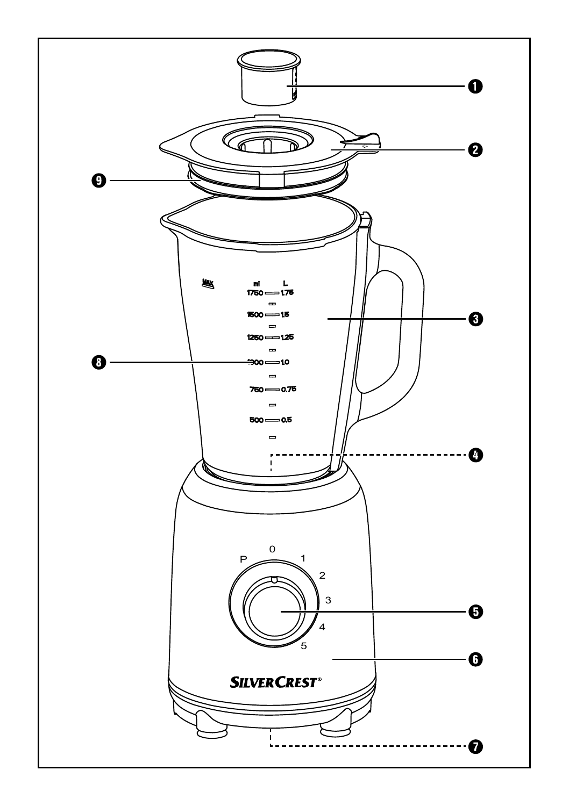![](_page_2_Figure_0.jpeg)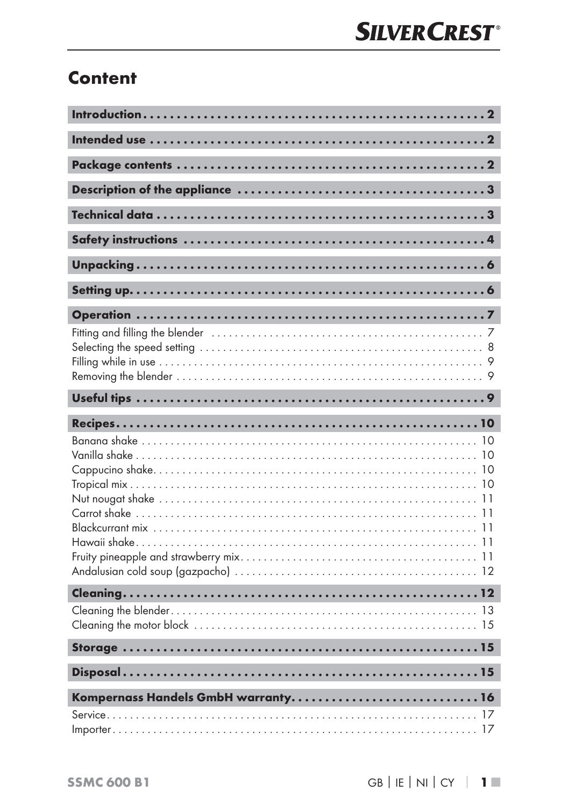### **Content**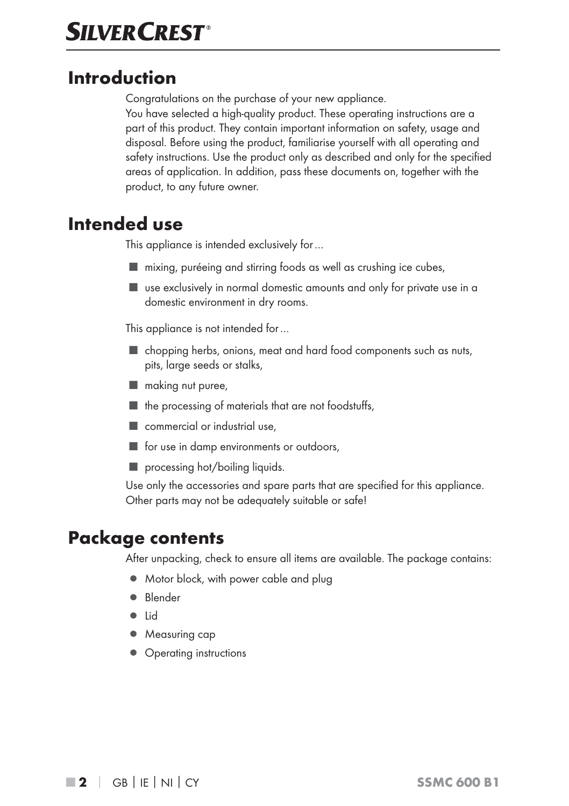### Introduction

Congratulations on the purchase of your new appliance.

You have selected a high-quality product. These operating instructions are a part of this product. They contain important information on safety, usage and disposal. Before using the product, familiarise yourself with all operating and safety instructions. Use the product only as described and only for the specified areas of application. In addition, pass these documents on, together with the product, to any future owner.

### Intended use

This appliance is intended exclusively for …

- mixing, puréeing and stirring foods as well as crushing ice cubes,
- use exclusively in normal domestic amounts and only for private use in a domestic environment in dry rooms.

This appliance is not intended for …

- chopping herbs, onions, meat and hard food components such as nuts, pits, large seeds or stalks,
- making nut puree,
- the processing of materials that are not foodstuffs,
- $\blacksquare$  commercial or industrial use.
- for use in damp environments or outdoors,
- processing hot/boiling liquids.

Use only the accessories and spare parts that are specified for this appliance. Other parts may not be adequately suitable or safe!

### Package contents

After unpacking, check to ensure all items are available. The package contains:

- Motor block, with power cable and plug
- Blender
- ▯ Lid
- Measuring cap
- Operating instructions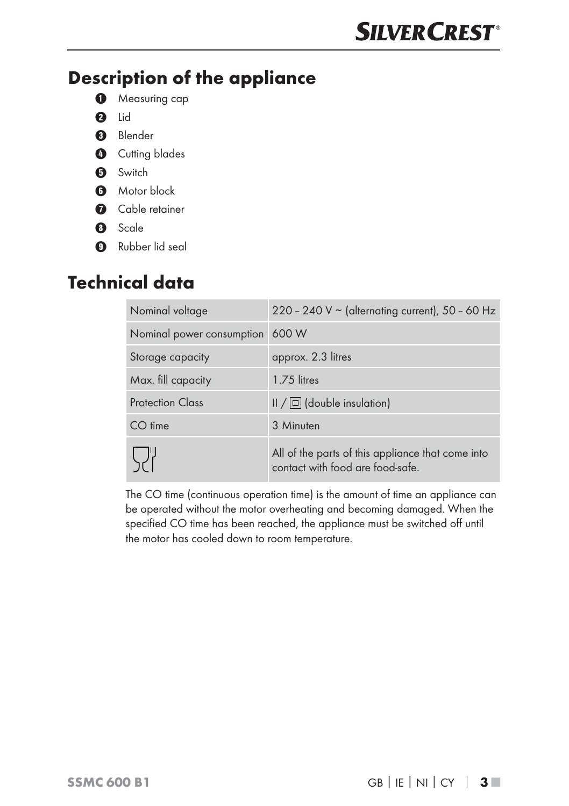### Description of the appliance

- **1** Measuring cap
- 2 Lid
- **8** Blender
- **4** Cutting blades
- **6** Switch
- **6** Motor block
- **2** Cable retainer
- **8** Scale
- **9** Rubber lid seal

## Technical data

| Nominal voltage                 | 220 - 240 V ~ (alternating current), 50 - 60 Hz                                       |  |  |
|---------------------------------|---------------------------------------------------------------------------------------|--|--|
| Nominal power consumption 600 W |                                                                                       |  |  |
| Storage capacity                | approx. 2.3 litres                                                                    |  |  |
| Max. fill capacity              | 1.75 litres                                                                           |  |  |
| <b>Protection Class</b>         | $II / \Box$ (double insulation)                                                       |  |  |
| CO time                         | 3 Minuten                                                                             |  |  |
|                                 | All of the parts of this appliance that come into<br>contact with food are food-safe. |  |  |

The CO time (continuous operation time) is the amount of time an appliance can be operated without the motor overheating and becoming damaged. When the specified CO time has been reached, the appliance must be switched off until the motor has cooled down to room temperature.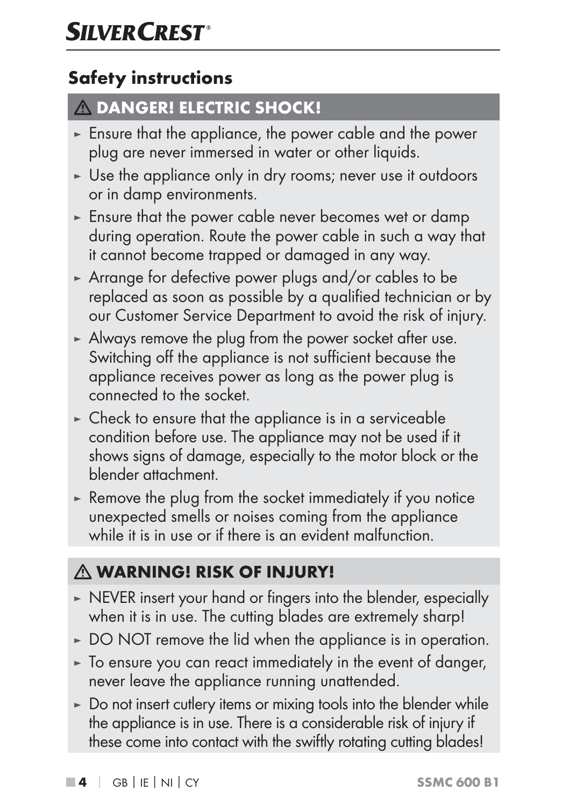## Safety instructions

## DANGER! ELECTRIC SHOCK!

- ► Ensure that the appliance, the power cable and the power plug are never immersed in water or other liquids.
- ► Use the appliance only in dry rooms; never use it outdoors or in damp environments.
- ► Ensure that the power cable never becomes wet or damp during operation. Route the power cable in such a way that it cannot become trapped or damaged in any way.
- ► Arrange for defective power plugs and/or cables to be replaced as soon as possible by a qualified technician or by our Customer Service Department to avoid the risk of injury.
- ► Always remove the plug from the power socket after use. Switching off the appliance is not sufficient because the appliance receives power as long as the power plug is connected to the socket.
- ► Check to ensure that the appliance is in a serviceable condition before use. The appliance may not be used if it shows signs of damage, especially to the motor block or the blender attachment.
- ► Remove the plug from the socket immediately if you notice unexpected smells or noises coming from the appliance while it is in use or if there is an evident malfunction.

## WARNING! RISK OF INJURY!

- ► NEVER insert your hand or fingers into the blender, especially when it is in use. The cutting blades are extremely sharp!
- ► DO NOT remove the lid when the appliance is in operation.
- ► To ensure you can react immediately in the event of danger, never leave the appliance running unattended.
- ► Do not insert cutlery items or mixing tools into the blender while the appliance is in use. There is a considerable risk of injury if these come into contact with the swiftly rotating cutting blades!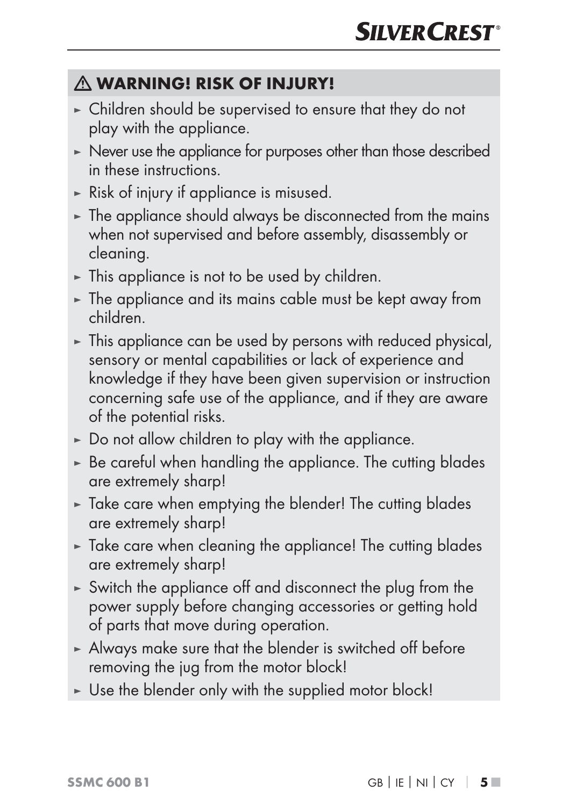## WARNING! RISK OF INJURY!

- ► Children should be supervised to ensure that they do not play with the appliance.
- ► Never use the appliance for purposes other than those described in these instructions.
- ► Risk of injury if appliance is misused.
- ► The appliance should always be disconnected from the mains when not supervised and before assembly, disassembly or cleaning.
- ► This appliance is not to be used by children.
- ► The appliance and its mains cable must be kept away from children.
- ► This appliance can be used by persons with reduced physical, sensory or mental capabilities or lack of experience and knowledge if they have been given supervision or instruction concerning safe use of the appliance, and if they are aware of the potential risks.
- ► Do not allow children to play with the appliance.
- ► Be careful when handling the appliance. The cutting blades are extremely sharp!
- ► Take care when emptying the blender! The cutting blades are extremely sharp!
- ► Take care when cleaning the appliance! The cutting blades are extremely sharp!
- ► Switch the appliance off and disconnect the plug from the power supply before changing accessories or getting hold of parts that move during operation.
- ► Always make sure that the blender is switched off before removing the jug from the motor block!
- ► Use the blender only with the supplied motor block!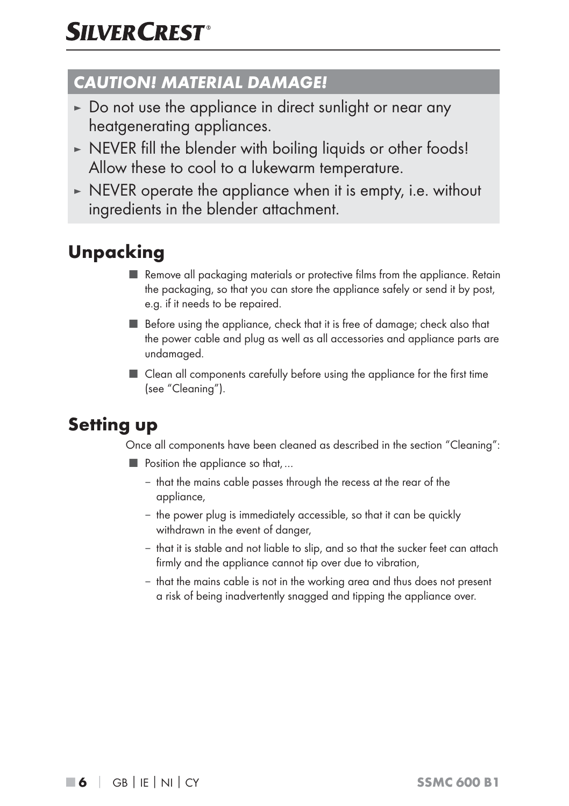### CAUTION! MATERIAL DAMAGE!

- ► Do not use the appliance in direct sunlight or near any heatgenerating appliances.
- ► NEVER fill the blender with boiling liquids or other foods! Allow these to cool to a lukewarm temperature.
- ► NEVER operate the appliance when it is empty, i.e. without ingredients in the blender attachment.

## Unpacking

- Remove all packaging materials or protective films from the appliance. Retain the packaging, so that you can store the appliance safely or send it by post, e.g. if it needs to be repaired.
- Before using the appliance, check that it is free of damage; check also that the power cable and plug as well as all accessories and appliance parts are undamaged.
- Clean all components carefully before using the appliance for the first time (see "Cleaning").

## Setting up

Once all components have been cleaned as described in the section "Cleaning":

- Position the appliance so that, ...
	- that the mains cable passes through the recess at the rear of the appliance,
	- the power plug is immediately accessible, so that it can be quickly withdrawn in the event of danger,
	- that it is stable and not liable to slip, and so that the sucker feet can attach firmly and the appliance cannot tip over due to vibration,
	- that the mains cable is not in the working area and thus does not present a risk of being inadvertently snagged and tipping the appliance over.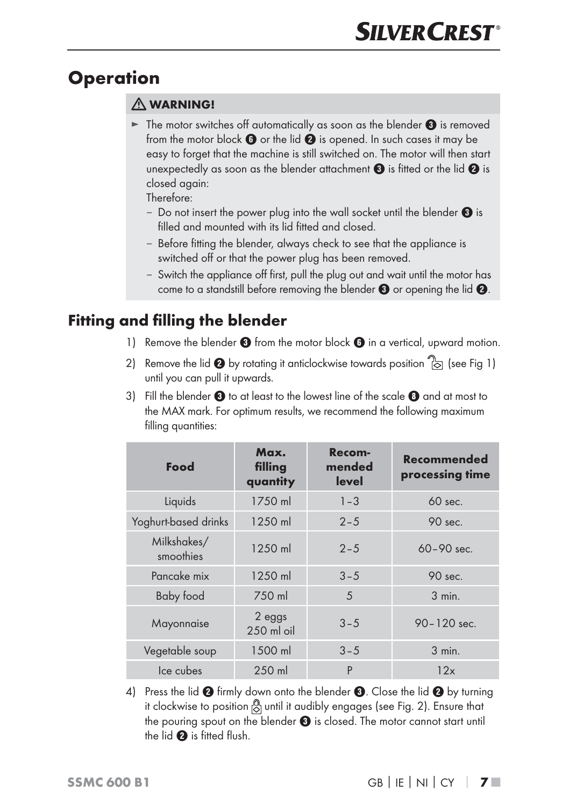### **Operation**

#### WARNING!

- $\blacktriangleright$  The motor switches off automatically as soon as the blender  $\Theta$  is removed from the motor block  $\bigcirc$  or the lid  $\bigcirc$  is opened. In such cases it may be easy to forget that the machine is still switched on. The motor will then start unexpectedly as soon as the blender attachment  $\Theta$  is fitted or the lid  $\Theta$  is closed again:
	- Therefore:
	- Do not insert the power plug into the wall socket until the blender  $\bigcirc$  is filled and mounted with its lid fitted and closed.
	- Before fitting the blender, always check to see that the appliance is switched off or that the power plug has been removed.
	- Switch the appliance off first, pull the plug out and wait until the motor has come to a standstill before removing the blender  $\bigcirc$  or opening the lid  $\bigcirc$ .

### Fitting and filling the blender

- 1) Remove the blender  $\Theta$  from the motor block  $\Theta$  in a vertical, upward motion.
- 2) Remove the lid  $\bullet$  by rotating it anticlockwise towards position  $\hat{\circ}$  (see Fig 1) until you can pull it upwards.
- 3) Fill the blender  $\bigcirc$  to at least to the lowest line of the scale  $\bigcirc$  and at most to the MAX mark. For optimum results, we recommend the following maximum filling quantities:

| Food                     | Max.<br>filling<br>quantity | Recom-<br>mended<br>level | Recommended<br>processing time |
|--------------------------|-----------------------------|---------------------------|--------------------------------|
| Liquids                  | 1750 ml                     | $1 - 3$                   | $60$ sec.                      |
| Yoghurt-based drinks     | 1250 ml                     | $2 - 5$                   | 90 sec.                        |
| Milkshakes/<br>smoothies | 1250 ml                     | $2 - 5$                   | $60 - 90$ sec.                 |
| Pancake mix              | 1250 ml                     | $3 - 5$                   | 90 sec.                        |
| <b>Baby food</b>         | 750 ml                      | .5                        | $3$ min.                       |
| Mayonnaise               | 2 eggs<br>250 ml oil        | $3 - 5$                   | $90 - 120$ sec.                |
| Vegetable soup           | 1500 ml                     | $3 - 5$                   | $3$ min.                       |
| Ice cubes                | 250 ml                      | P                         | 12x                            |

4) Press the lid  $\odot$  firmly down onto the blender  $\odot$ . Close the lid  $\odot$  by turning it clockwise to position  $\mathcal{L}$  until it audibly engages (see Fig. 2). Ensure that the pouring spout on the blender  $\bigcirc$  is closed. The motor cannot start until the lid  $\bullet$  is fitted flush.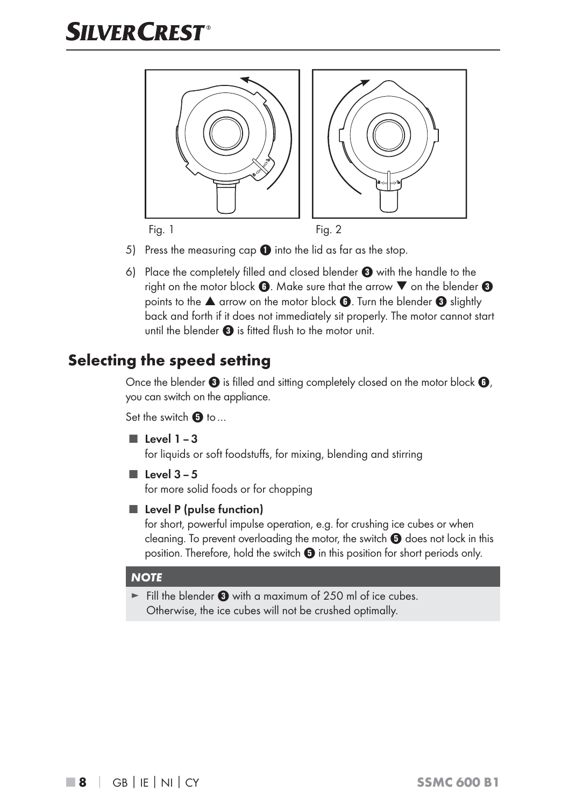## **SILVER CREST®**

![](_page_10_Figure_1.jpeg)

- 5) Press the measuring cap  $\bullet$  into the lid as far as the stop.
- 6) Place the completely filled and closed blender  $\bigcirc$  with the handle to the right on the motor block  $\mathbf 6$ . Make sure that the arrow  $\mathbf \nabla$  on the blender  $\mathbf 6$ points to the  $\blacktriangle$  arrow on the motor block  $\Theta$ . Turn the blender  $\Theta$  slightly back and forth if it does not immediately sit properly. The motor cannot start until the blender  $\bigcirc$  is fitted flush to the motor unit.

### Selecting the speed setting

Once the blender  $\bigodot$  is filled and sitting completely closed on the motor block  $\bigodot$ , you can switch on the appliance.

Set the switch  $\bullet$  to ...

```
\blacksquare Level 1 – 3
```
for liquids or soft foodstuffs, for mixing, blending and stirring

 $\blacksquare$  Level  $3 - 5$ 

for more solid foods or for chopping

#### ■ Level P (pulse function)

for short, powerful impulse operation, e.g. for crushing ice cubes or when cleaning. To prevent overloading the motor, the switch  $\bigcirc$  does not lock in this position. Therefore, hold the switch  $\bigoplus$  in this position for short periods only.

#### **NOTE**

 $\blacktriangleright$  Fill the blender  $\bigcirc$  with a maximum of 250 ml of ice cubes. Otherwise, the ice cubes will not be crushed optimally.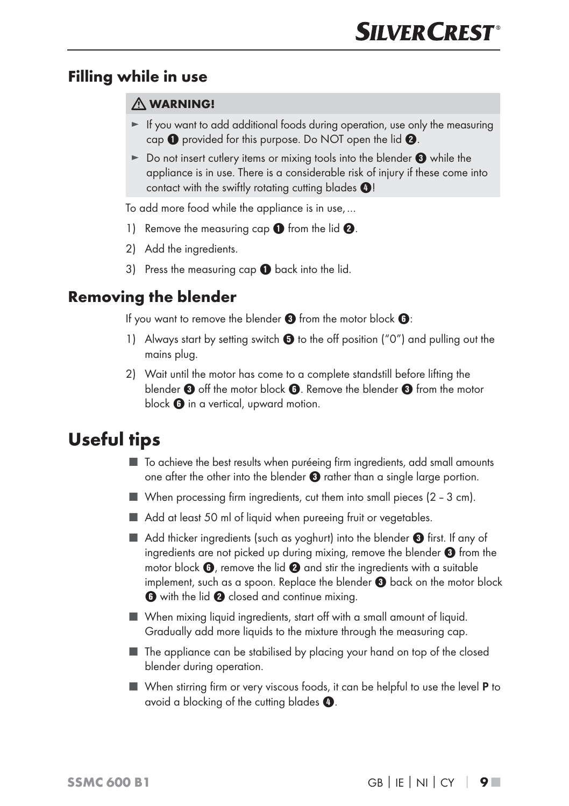### Filling while in use

#### WARNING!

- ► If you want to add additional foods during operation, use only the measuring cap  $\bullet$  provided for this purpose. Do NOT open the lid  $\bullet$ .
- ► Do not insert cutlery items or mixing tools into the blender  $\bigcirc$  while the appliance is in use. There is a considerable risk of injury if these come into contact with the swiftly rotating cutting blades  $\bigcirc$  !

To add more food while the appliance is in use, …

- 1) Remove the measuring cap  $\bullet$  from the lid  $\bullet$ .
- 2) Add the ingredients.
- 3) Press the measuring cap  $\bullet$  back into the lid.

### Removing the blender

If you want to remove the blender  $\bigcirc$  from the motor block  $\bigcirc$ :

- 1) Always start by setting switch  $\bigoplus$  to the off position ("0") and pulling out the mains plug.
- 2) Wait until the motor has come to a complete standstill before lifting the blender  $\bigcirc$  off the motor block  $\bigcirc$ . Remove the blender  $\bigcirc$  from the motor block  $\boldsymbol{\Theta}$  in a vertical, upward motion.

## Useful tips

- To achieve the best results when puréeing firm ingredients, add small amounts one after the other into the blender  $\bigcirc$  rather than a single large portion.
- When processing firm ingredients, cut them into small pieces (2 3 cm).
- Add at least 50 ml of liquid when pureeing fruit or vegetables.
- $\blacksquare$  Add thicker ingredients (such as yoghurt) into the blender  $\boldsymbol{\Theta}$  first. If any of ingredients are not picked up during mixing, remove the blender  $\bigcirc$  from the motor block  $\mathbf \Theta$ , remove the lid  $\mathbf \Theta$  and stir the ingredients with a suitable implement, such as a spoon. Replace the blender  $\bigcirc$  back on the motor block **6** with the lid **2** closed and continue mixing.
- When mixing liquid ingredients, start off with a small amount of liquid. Gradually add more liquids to the mixture through the measuring cap.
- The appliance can be stabilised by placing your hand on top of the closed blender during operation.
- When stirring firm or very viscous foods, it can be helpful to use the level **P** to avoid a blocking of the cutting blades  $\bullet$ .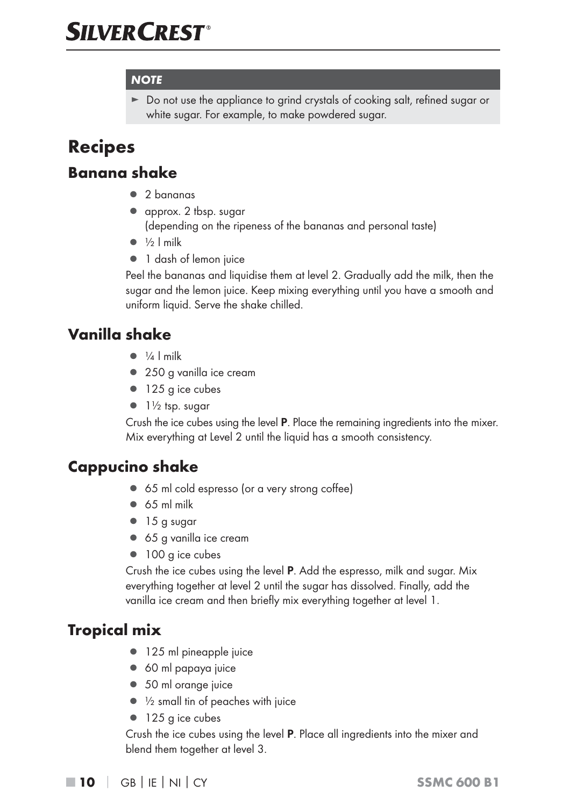#### **NOTE**

► Do not use the appliance to grind crystals of cooking salt, refined sugar or white sugar. For example, to make powdered sugar.

### Recipes

### Banana shake

- 2 bananas
- approx. 2 tbsp. sugar (depending on the ripeness of the bananas and personal taste)
- $\bullet$  ½  $\mid$  milk
- 1 dash of lemon juice

Peel the bananas and liquidise them at level 2. Gradually add the milk, then the sugar and the lemon juice. Keep mixing everything until you have a smooth and uniform liquid. Serve the shake chilled.

### Vanilla shake

- $\bullet$  1/4 | milk
- 250 g vanilla ice cream
- 125 g ice cubes
- $\bullet$  1½ tsp. sugar

Crush the ice cubes using the level P. Place the remaining ingredients into the mixer. Mix everything at Level 2 until the liquid has a smooth consistency.

### Cappucino shake

- 65 ml cold espresso (or a very strong coffee)
- $65$  ml milk
- $\bullet$  15 g sugar
- 65 g vanilla ice cream
- 100 g ice cubes

Crush the ice cubes using the level P. Add the espresso, milk and sugar. Mix everything together at level 2 until the sugar has dissolved. Finally, add the vanilla ice cream and then briefly mix everything together at level 1.

### Tropical mix

- 125 ml pineapple juice
- 60 ml papaya juice
- 50 ml orange juice
- $\bullet$   $\frac{1}{2}$  small tin of peaches with juice
- 125 g ice cubes

Crush the ice cubes using the level P. Place all ingredients into the mixer and blend them together at level 3.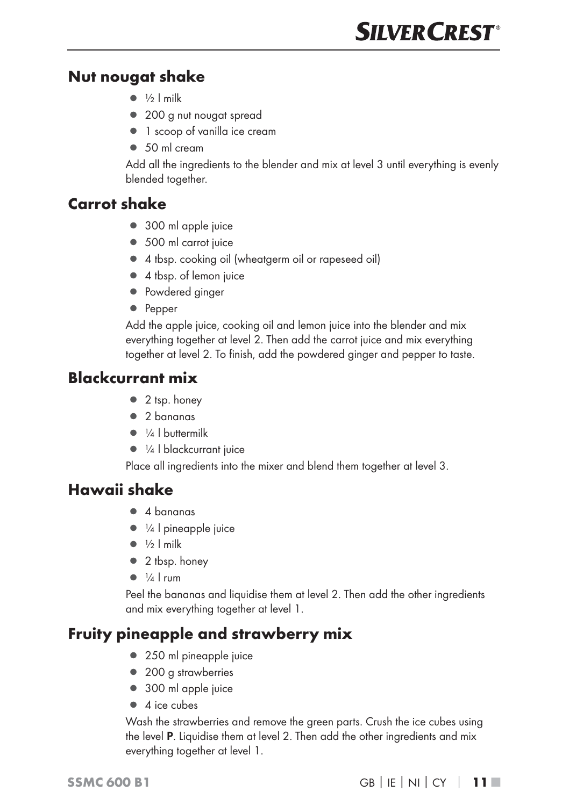### Nut nougat shake

- $\bullet$  ½ | milk
- 200 g nut nougat spread
- 1 scoop of vanilla ice cream
- $\bullet$  50 ml cream

Add all the ingredients to the blender and mix at level 3 until everything is evenly blended together.

### Carrot shake

- 300 ml apple juice
- 500 ml carrot juice
- 4 tbsp. cooking oil (wheatgerm oil or rapeseed oil)
- 4 tbsp. of lemon juice
- Powdered ginger
- Pepper

Add the apple juice, cooking oil and lemon juice into the blender and mix everything together at level 2. Then add the carrot juice and mix everything together at level 2. To finish, add the powdered ginger and pepper to taste.

### Blackcurrant mix

- 2 tsp. honey
- 2 bananas
- $\bullet$  1/4 | buttermilk
- ¼ I blackcurrant juice

Place all ingredients into the mixer and blend them together at level 3.

### Hawaii shake

- 4 bananas
- ¼ l pineapple juice
- $\bullet$  1/2 | milk
- 2 tbsp. honey
- $\bullet$   $\frac{1}{4}$  l rum

Peel the bananas and liquidise them at level 2. Then add the other ingredients and mix everything together at level 1.

### Fruity pineapple and strawberry mix

- 250 ml pineapple juice
- 200 g strawberries
- 300 ml apple juice
- 4 ice cubes

Wash the strawberries and remove the green parts. Crush the ice cubes using the level P. Liquidise them at level 2. Then add the other ingredients and mix everything together at level 1.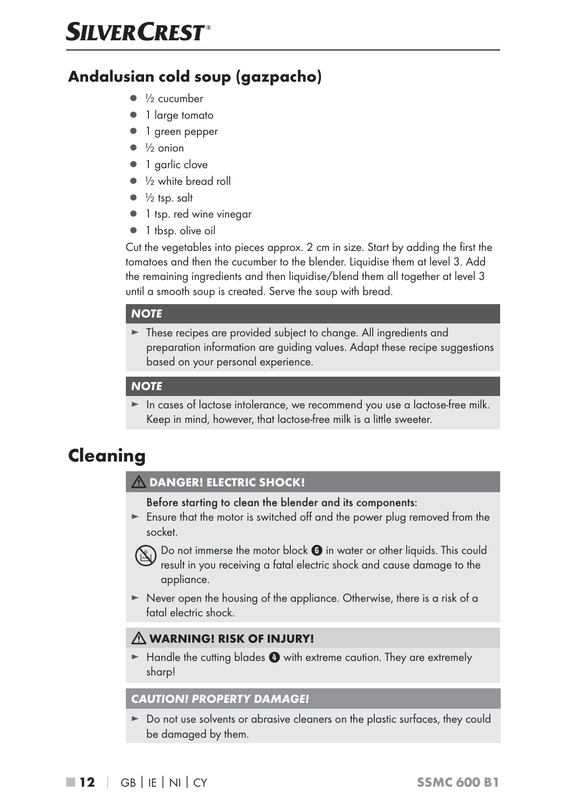### Andalusian cold soup (gazpacho)

- $\bullet$  ½ cucumber
- 1 large tomato
- l green pepper
- $\frac{1}{2}$  onion
- 1 garlic clove
- 1/<sub>2</sub> white bread roll
- $\bullet\quad$  1/2 tsp. salt
- 1 tsp. red wine vinegar
- 1 tbsp. olive oil

Cut the vegetables into pieces approx. 2 cm in size. Start by adding the first the tomatoes and then the cucumber to the blender. Liquidise them at level 3. Add the remaining ingredients and then liquidise/blend them all together at level 3 until a smooth soup is created. Serve the soup with bread.

#### **NOTE**

► These recipes are provided subject to change. All ingredients and preparation information are guiding values. Adapt these recipe suggestions based on your personal experience.

#### **NOTE**

► In cases of lactose intolerance, we recommend you use a lactose-free milk. Keep in mind, however, that lactose-free milk is a little sweeter.

## Cleaning

#### **A DANGER! ELECTRIC SHOCK!**

Before starting to clean the blender and its components:

► Ensure that the motor is switched off and the power plug removed from the socket.

![](_page_14_Picture_20.jpeg)

 $\bigotimes$  Do not immerse the motor block  $\bigcirc$  in water or other liquids. This could result in you receiving a fatal electric shock and cause damage to the appliance.

► Never open the housing of the appliance. Otherwise, there is a risk of a fatal electric shock.

#### WARNING! RISK OF INJURY!

► Handle the cutting blades ● with extreme caution. They are extremely sharp!

#### CAUTION! PROPERTY DAMAGE!

► Do not use solvents or abrasive cleaners on the plastic surfaces, they could be damaged by them.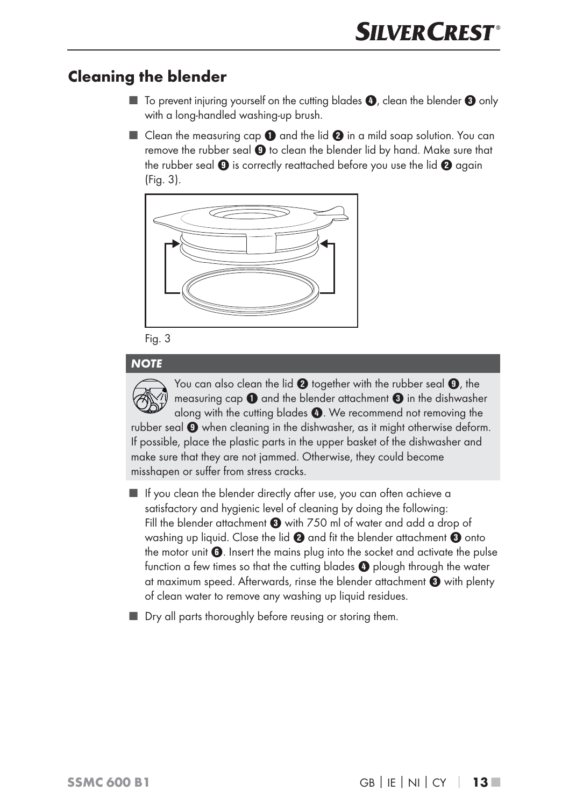### Cleaning the blender

- $\blacksquare$  To prevent injuring yourself on the cutting blades  $\spadesuit$ , clean the blender  $\spadesuit$  only with a long-handled washing-up brush.
- $\blacksquare$  Clean the measuring cap  $\blacksquare$  and the lid  $\clubsuit$  in a mild soap solution. You can remove the rubber seal  $\bigcirc$  to clean the blender lid by hand. Make sure that the rubber seal  $\bigoplus$  is correctly reattached before you use the lid  $\bigoplus$  again (Fig. 3).

![](_page_15_Figure_4.jpeg)

![](_page_15_Figure_5.jpeg)

#### **NOTE**

measuring cap  $\bullet$  and the blender attachment  $\bullet$  in the dishwasher along with the cutting blades  $\bullet$ . We recommend not removing the rubber seal  $\bullet$  when cleaning in the dishwasher, as it might otherwise deform. If possible, place the plastic parts in the upper basket of the dishwasher and make sure that they are not jammed. Otherwise, they could become misshapen or suffer from stress cracks.

You can also clean the lid  $\bullet$  together with the rubber seal  $\bullet$ , the

- If you clean the blender directly after use, you can often achieve a satisfactory and hygienic level of cleaning by doing the following: Fill the blender attachment  $\bigcirc$  with 750 ml of water and add a drop of washing up liquid. Close the lid  $\bullet$  and fit the blender attachment  $\bullet$  onto the motor unit  $\mathbf \Theta$ . Insert the mains plug into the socket and activate the pulse function a few times so that the cutting blades  $\bullet$  plough through the water at maximum speed. Afterwards, rinse the blender attachment  $\bigoplus$  with plenty of clean water to remove any washing up liquid residues.
- Dry all parts thoroughly before reusing or storing them.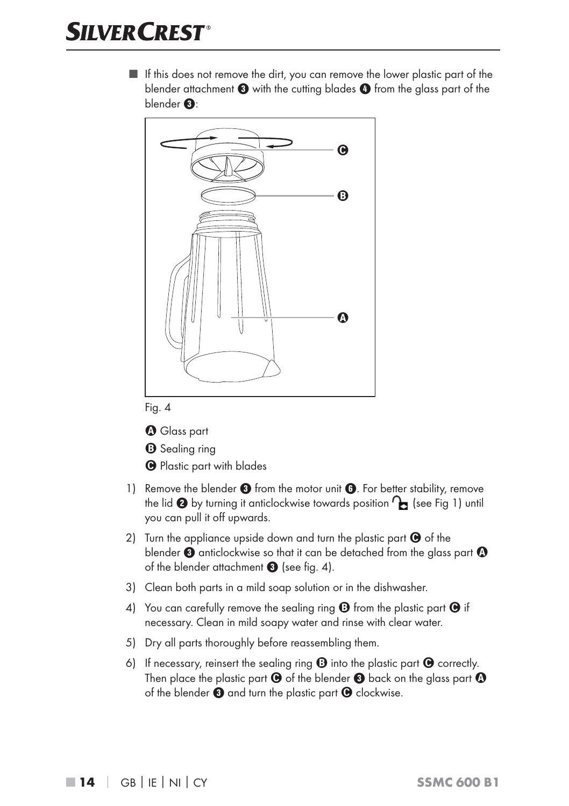■ If this does not remove the dirt, you can remove the lower plastic part of the blender attachment  $\bigcirc$  with the cutting blades  $\bigcirc$  from the glass part of the blender **8:** 

![](_page_16_Figure_2.jpeg)

![](_page_16_Figure_3.jpeg)

- A Glass part
- **B** Sealing ring
- C Plastic part with blades
- 1) Remove the blender  $\bigcirc$  from the motor unit  $\bigcirc$ . For better stability, remove the lid  $\bullet$  by turning it anticlockwise towards position  $\bullet$  (see Fig 1) until you can pull it off upwards.
- 2) Turn the appliance upside down and turn the plastic part  $\bigcirc$  of the blender  $\boldsymbol{\Theta}$  anticlockwise so that it can be detached from the glass part  $\boldsymbol{\Theta}$ of the blender attachment  $\bigcirc$  (see fig. 4).
- 3) Clean both parts in a mild soap solution or in the dishwasher.
- 4) You can carefully remove the sealing ring  $\Theta$  from the plastic part  $\Theta$  if necessary. Clean in mild soapy water and rinse with clear water.
- 5) Dry all parts thoroughly before reassembling them.
- 6) If necessary, reinsert the sealing ring  $\Theta$  into the plastic part  $\Theta$  correctly. Then place the plastic part  $\Theta$  of the blender  $\Theta$  back on the glass part  $\Omega$ of the blender  $\bigcirc$  and turn the plastic part  $\bigcirc$  clockwise.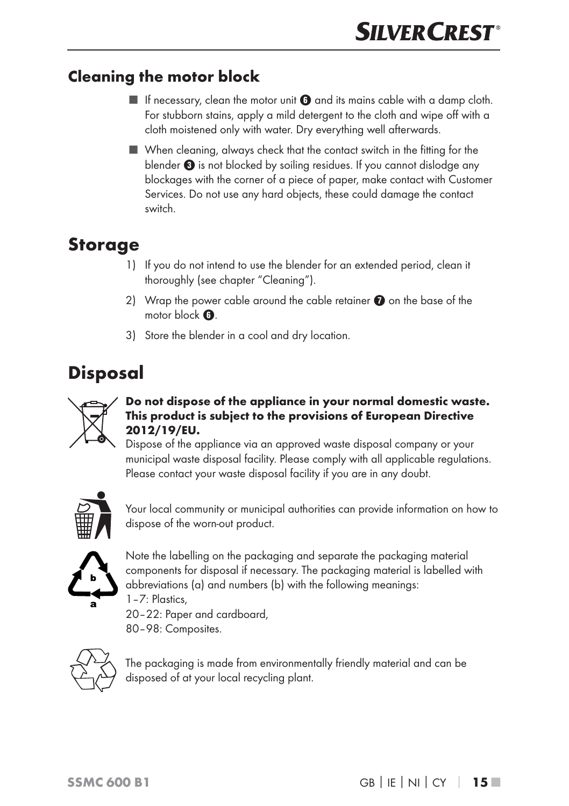### Cleaning the motor block

- $\blacksquare$  If necessary, clean the motor unit  $\blacksquare$  and its mains cable with a damp cloth. For stubborn stains, apply a mild detergent to the cloth and wipe off with a cloth moistened only with water. Dry everything well afterwards.
- When cleaning, always check that the contact switch in the fitting for the blender  $\bigoplus$  is not blocked by soiling residues. If you cannot dislodge any blockages with the corner of a piece of paper, make contact with Customer Services. Do not use any hard objects, these could damage the contact switch.

### Storage

- 1) If you do not intend to use the blender for an extended period, clean it thoroughly (see chapter "Cleaning").
- 2) Wrap the power cable around the cable retainer  $\bullet$  on the base of the motor block  $\mathbf{\Omega}$ .
- 3) Store the blender in a cool and dry location.

## **Disposal**

![](_page_17_Picture_9.jpeg)

#### Do not dispose of the appliance in your normal domestic waste. This product is subject to the provisions of European Directive 2012/19/EU.

Dispose of the appliance via an approved waste disposal company or your municipal waste disposal facility. Please comply with all applicable regulations. Please contact your waste disposal facility if you are in any doubt.

![](_page_17_Picture_12.jpeg)

Your local community or municipal authorities can provide information on how to dispose of the worn-out product.

![](_page_17_Picture_14.jpeg)

 Note the labelling on the packaging and separate the packaging material components for disposal if necessary. The packaging material is labelled with abbreviations (a) and numbers (b) with the following meanings: 1–7: Plastics, 20–22: Paper and cardboard,

80–98: Composites.

![](_page_17_Picture_17.jpeg)

The packaging is made from environmentally friendly material and can be disposed of at your local recycling plant.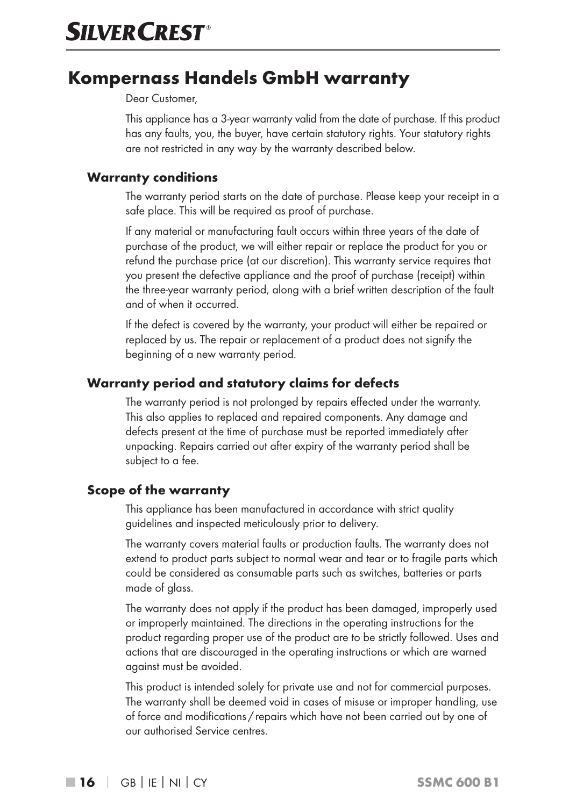### Kompernass Handels GmbH warranty

Dear Customer,

This appliance has a 3-year warranty valid from the date of purchase. If this product has any faults, you, the buyer, have certain statutory rights. Your statutory rights are not restricted in any way by the warranty described below.

#### Warranty conditions

The warranty period starts on the date of purchase. Please keep your receipt in a safe place. This will be required as proof of purchase.

If any material or manufacturing fault occurs within three years of the date of purchase of the product, we will either repair or replace the product for you or refund the purchase price (at our discretion). This warranty service requires that you present the defective appliance and the proof of purchase (receipt) within the three-year warranty period, along with a brief written description of the fault and of when it occurred.

If the defect is covered by the warranty, your product will either be repaired or replaced by us. The repair or replacement of a product does not signify the beginning of a new warranty period.

#### Warranty period and statutory claims for defects

The warranty period is not prolonged by repairs effected under the warranty. This also applies to replaced and repaired components. Any damage and defects present at the time of purchase must be reported immediately after unpacking. Repairs carried out after expiry of the warranty period shall be subject to a fee.

#### Scope of the warranty

This appliance has been manufactured in accordance with strict quality guidelines and inspected meticulously prior to delivery.

The warranty covers material faults or production faults. The warranty does not extend to product parts subject to normal wear and tear or to fragile parts which could be considered as consumable parts such as switches, batteries or parts made of glass.

The warranty does not apply if the product has been damaged, improperly used or improperly maintained. The directions in the operating instructions for the product regarding proper use of the product are to be strictly followed. Uses and actions that are discouraged in the operating instructions or which are warned against must be avoided.

This product is intended solely for private use and not for commercial purposes. The warranty shall be deemed void in cases of misuse or improper handling, use of force and modifications / repairs which have not been carried out by one of our authorised Service centres.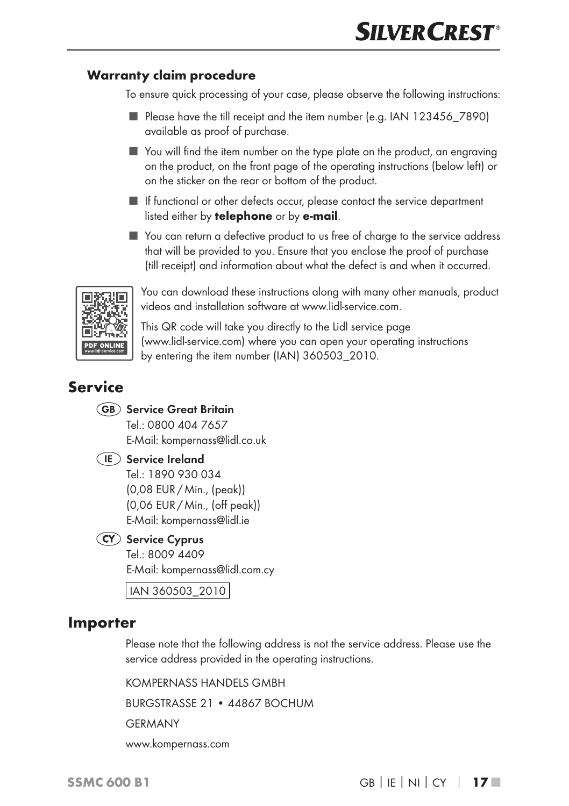#### Warranty claim procedure

To ensure quick processing of your case, please observe the following instructions:

- Please have the till receipt and the item number (e.g. IAN 123456 7890) available as proof of purchase.
- You will find the item number on the type plate on the product, an engraving on the product, on the front page of the operating instructions (below left) or on the sticker on the rear or bottom of the product.
- If functional or other defects occur, please contact the service department listed either by **telephone** or by **e-mail**.
- You can return a defective product to us free of charge to the service address that will be provided to you. Ensure that you enclose the proof of purchase (till receipt) and information about what the defect is and when it occurred.

![](_page_19_Picture_7.jpeg)

 You can download these instructions along with many other manuals, product videos and installation software at www.lidl-service.com.

 This QR code will take you directly to the Lidl service page (www.lidl-service.com) where you can open your operating instructions by entering the item number (IAN) 360503\_2010.

### Service

#### (GB) Service Great Britain

Tel.: 0800 404 7657 E-Mail: kompernass@lidl.co.uk

#### Service Ireland

Tel.: 1890 930 034 (0,08 EUR / Min., (peak)) (0,06 EUR / Min., (off peak)) E-Mail: kompernass@lidl.ie

#### (CY) Service Cyprus

Tel.: 8009 4409 E-Mail: kompernass@lidl.com.cy

IAN 360503\_2010

### Importer

Please note that the following address is not the service address. Please use the service address provided in the operating instructions.

KOMPERNASS HANDELS GMBH

BURGSTRASSE 21 • 44867 BOCHUM

**GFRMANY** 

www.kompernass.com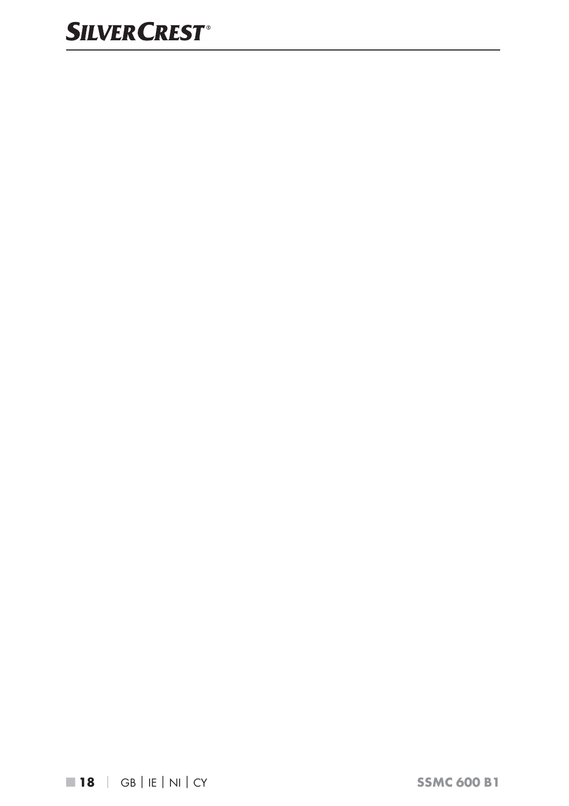■ 18 │ GB│IE│NI│CY SSMC 600 B1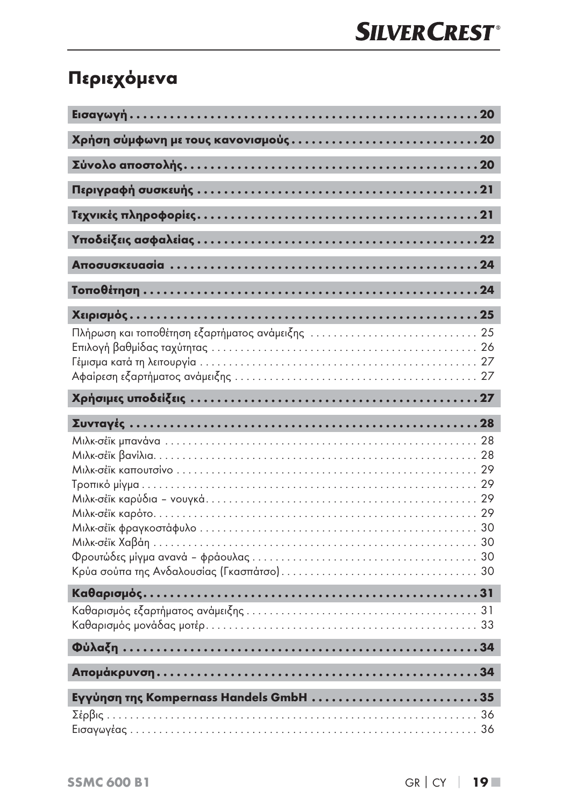## Περιεχόμενα

| Eyyunan The Kompernass Handels GmbH 35 |
|----------------------------------------|
|                                        |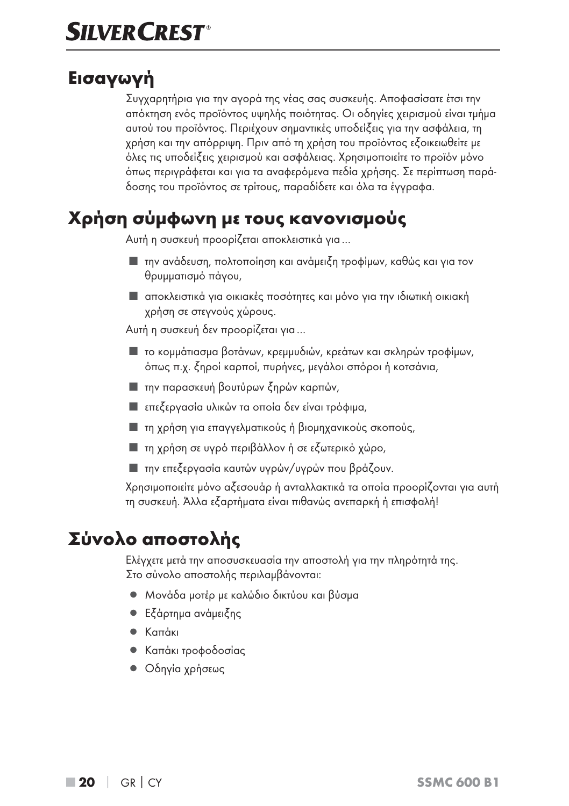## Εισαγωγή

Συγχαρητήρια για την αγορά της νέας σας συσκευής. Αποφασίσατε έτσι την απόκτηση ενός προϊόντος υψηλής ποιότητας. Οι οδηγίες χειρισμού είναι τμήμα αυτού του προϊόντος. Περιέχουν σημαντικές υποδείξεις για την ασφάλεια, τη χρήση και την απόρριψη. Πριν από τη χρήση του προϊόντος εξοικειωθείτε με όλες τις υποδείξεις χειρισμού και ασφάλειας. Χρησιμοποιείτε το προϊόν μόνο όπως περιγράφεται και για τα αναφερόμενα πεδία χρήσης. Σε περίπτωση παράδοσης του προϊόντος σε τρίτους, παραδίδετε και όλα τα έγγραφα.

## Χρήση σύμφωνη με τους κανονισμούς

Αυτή η συσκευή προορίζεται αποκλειστικά για …

- την ανάδευση, πολτοποίηση και ανάμειξη τροφίμων, καθώς και για τον θρυμματισμό πάγου,
- αποκλειστικά για οικιακές ποσότητες και μόνο για την ιδιωτική οικιακή χρήση σε στεγνούς χώρους.

Αυτή η συσκευή δεν προορίζεται για …

- το κομμάτιασμα βοτάνων, κρεμμυδιών, κρεάτων και σκληρών τροφίμων, όπως π.χ. ξηροί καρποί, πυρήνες, μεγάλοι σπόροι ή κοτσάνια,
- την παρασκευή βουτύρων ξηρών καρπών,
- επεξεργασία υλικών τα οποία δεν είναι τρόφιμα,
- τη χρήση για επαγγελματικούς ή βιομηχανικούς σκοπούς,
- τη χρήση σε υγρό περιβάλλον ή σε εξωτερικό χώρο,
- την επεξεργασία καυτών υγρών/υγρών που βράζουν.

Χρησιμοποιείτε μόνο αξεσουάρ ή ανταλλακτικά τα οποία προορίζονται για αυτή τη συσκευή. Άλλα εξαρτήματα είναι πιθανώς ανεπαρκή ή επισφαλή!

## Σύνολο αποστολής

Ελέγχετε μετά την αποσυσκευασία την αποστολή για την πληρότητά της. Στο σύνολο αποστολής περιλαμβάνονται:

- Μονάδα μοτέρ με καλώδιο δικτύου και βύσμα
- Εξάρτημα ανάμειξης
- ▯ Καπάκι
- ▯ Καπάκι τροφοδοσίας
- Οδηγία χρήσεως

■ 20 │ GR│CY SSMC 600 B1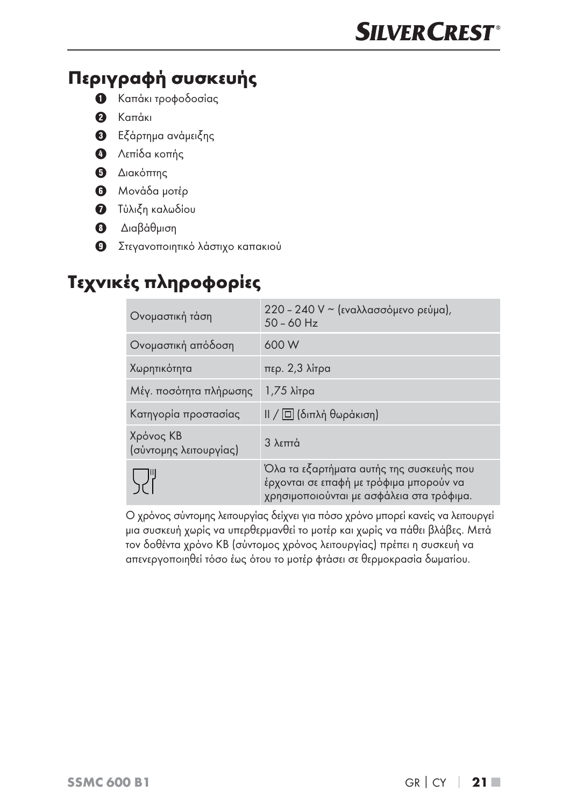### Περιγραφή συσκευής

- 1 Καπάκι τροφοδοσίας
- 2 Καπάκι
- 3 Εξάρτημα ανάμειξης
- 4 Λεπίδα κοπής
- 5 Διακόπτης
- 6 Μονάδα μοτέρ
- 7 Τύλιξη καλωδίου
- 8 Διαβάθμιση
- 9 Στεγανοποιητικό λάστιχο καπακιού

## Τεχνικές πληροφορίες

| Ονομαστική τάση                     | 220 - 240 V ~ (εναλλασσόμενο ρεύμα),<br>$50 - 60$ Hz                                                                             |
|-------------------------------------|----------------------------------------------------------------------------------------------------------------------------------|
| Ονομαστική απόδοση                  | 600W                                                                                                                             |
| Χωρητικότητα                        | περ. 2,3 λίτρα                                                                                                                   |
| Μέγ. ποσότητα πλήρωσης              | 1,75 λίτρα                                                                                                                       |
| Κατηγορία προστασίας                | ΙΙ / □ (διπλή θωράκιση)                                                                                                          |
| Χρόνος ΚΒ<br>(σύντομης λειτουργίας) | 3 λεπτά                                                                                                                          |
|                                     | Όλα τα εξαρτήματα αυτής της συσκευής που<br>έρχονται σε επαφή με τρόφιμα μπορούν να<br>χρησιμοποιούνται με ασφάλεια στα τρόφιμα. |

Ο χρόνος σύντομης λειτουργίας δείχνει για πόσο χρόνο μπορεί κανείς να λειτουργεί μια συσκευή χωρίς να υπερθερμανθεί το μοτέρ και χωρίς να πάθει βλάβες. Μετά τον δοθέντα χρόνο ΚΒ (σύντομος χρόνος λειτουργίας) πρέπει η συσκευή να απενεργοποιηθεί τόσο έως ότου το μοτέρ φτάσει σε θερμοκρασία δωματίου.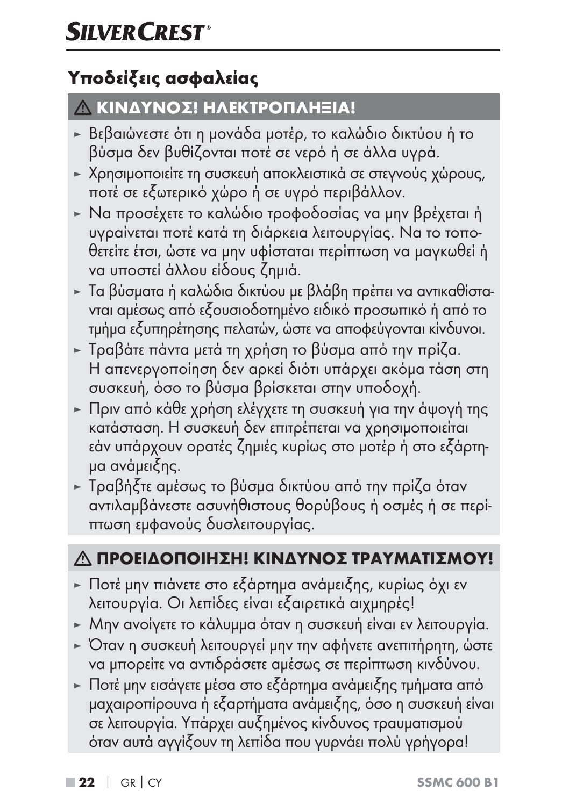## Υποδείξεις ασφαλείας

## ΚΙΝΔΥΝΟΣ! ΗΛΕΚΤΡΟΠΛΗΞΙΑ!

- ► Βεβαιώνεστε ότι η μονάδα μοτέρ, το καλώδιο δικτύου ή το βύσμα δεν βυθίζονται ποτέ σε νερό ή σε άλλα υγρά.
- ► Χρησιμοποιείτε τη συσκευή αποκλειστικά σε στεγνούς χώρους, ποτέ σε εξωτερικό χώρο ή σε υγρό περιβάλλον.
- ► Να προσέχετε το καλώδιο τροφοδοσίας να μην βρέχεται ή υγραίνεται ποτέ κατά τη διάρκεια λειτουργίας. Να το τοποθετείτε έτσι, ώστε να μην υφίσταται περίπτωση να μαγκωθεί ή να υποστεί άλλου είδους ζημιά.
- ► Τα βύσματα ή καλώδια δικτύου με βλάβη πρέπει να αντικαθίστανται αμέσως από εξουσιοδοτημένο ειδικό προσωπικό ή από το τμήμα εξυπηρέτησης πελατών, ώστε να αποφεύγονται κίνδυνοι.
- ► Τραβάτε πάντα μετά τη χρήση το βύσμα από την πρίζα. Η απενεργοποίηση δεν αρκεί διότι υπάρχει ακόμα τάση στη συσκευή, όσο το βύσμα βρίσκεται στην υποδοχή.
- ► Πριν από κάθε χρήση ελέγχετε τη συσκευή για την άψογή της κατάσταση. Η συσκευή δεν επιτρέπεται να χρησιμοποιείται εάν υπάρχουν ορατές ζημιές κυρίως στο μοτέρ ή στο εξάρτημα ανάμειξης.
- ► Τραβήξτε αμέσως το βύσμα δικτύου από την πρίζα όταν αντιλαμβάνεστε ασυνήθιστους θορύβους ή οσμές ή σε περίπτωση εμφανούς δυσλειτουργίας.

## ΠΡΟΕΙΔΟΠΟΙΗΣΗ! ΚΙΝΔΥΝΟΣ ΤΡΑΥΜΑΤΙΣΜΟΥ!

- ► Ποτέ μην πιάνετε στο εξάρτημα ανάμειξης, κυρίως όχι εν λειτουργία. Οι λεπίδες είναι εξαιρετικά αιχμηρές!
- ► Μην ανοίγετε το κάλυμμα όταν η συσκευή είναι εν λειτουργία.
- ► Όταν η συσκευή λειτουργεί μην την αφήνετε ανεπιτήρητη, ώστε να μπορείτε να αντιδράσετε αμέσως σε περίπτωση κινδύνου.
- ► Ποτέ μην εισάγετε μέσα στο εξάρτημα ανάμειξης τμήματα από μαχαιροπίρουνα ή εξαρτήματα ανάμειξης, όσο η συσκευή είναι σε λειτουργία. Υπάρχει αυξημένος κίνδυνος τραυματισμού όταν αυτά αγγίξουν τη λεπίδα που γυρνάει πολύ γρήγορα!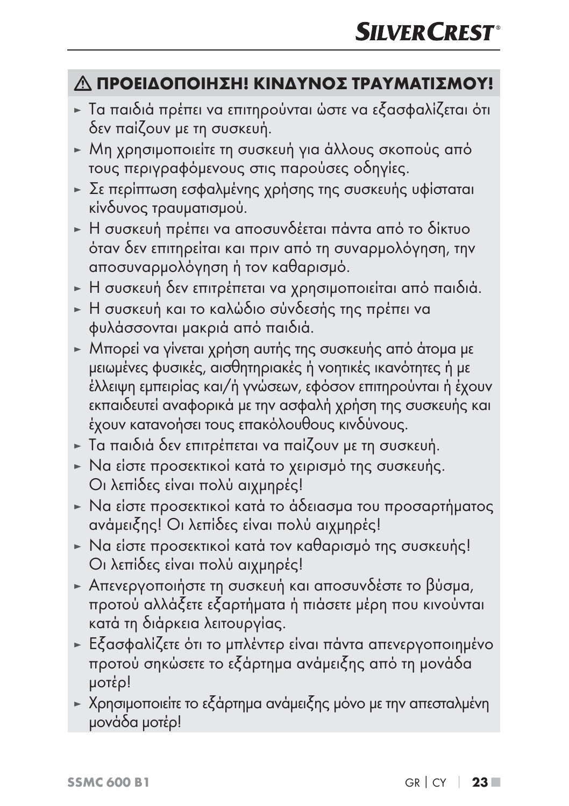## ΠΡΟΕΙΔΟΠΟΙΗΣΗ! ΚΙΝΔΥΝΟΣ ΤΡΑΥΜΑΤΙΣΜΟΥ!

- ► Τα παιδιά πρέπει να επιτηρούνται ώστε να εξασφαλίζεται ότι δεν παίζουν με τη συσκευή.
- ► Μη χρησιμοποιείτε τη συσκευή για άλλους σκοπούς από τους περιγραφόμενους στις παρούσες οδηγίες.
- ► Σε περίπτωση εσφαλμένης χρήσης της συσκευής υφίσταται κίνδυνος τραυματισμού.
- ► Η συσκευή πρέπει να αποσυνδέεται πάντα από το δίκτυο όταν δεν επιτηρείται και πριν από τη συναρμολόγηση, την αποσυναρμολόγηση ή τον καθαρισμό.
- ► Η συσκευή δεν επιτρέπεται να χρησιμοποιείται από παιδιά.
- ► Η συσκευή και το καλώδιο σύνδεσής της πρέπει να φυλάσσονται μακριά από παιδιά.
- ► Μπορεί να γίνεται χρήση αυτής της συσκευής από άτομα με μειωμένες φυσικές, αισθητηριακές ή νοητικές ικανότητες ή με έλλειψη εμπειρίας και/ή γνώσεων, εφόσον επιτηρούνται ή έχουν εκπαιδευτεί αναφορικά με την ασφαλή χρήση της συσκευής και έχουν κατανοήσει τους επακόλουθους κινδύνους.
- ► Τα παιδιά δεν επιτρέπεται να παίζουν με τη συσκευή.
- ► Να είστε προσεκτικοί κατά το χειρισμό της συσκευής. Οι λεπίδες είναι πολύ αιχμηρές!
- ► Να είστε προσεκτικοί κατά το άδειασμα του προσαρτήματος ανάμειξης! Οι λεπίδες είναι πολύ αιχμηρές!
- ► Να είστε προσεκτικοί κατά τον καθαρισμό της συσκευής! Οι λεπίδες είναι πολύ αιχμηρές!
- ► Απενεργοποιήστε τη συσκευή και αποσυνδέστε το βύσμα, προτού αλλάξετε εξαρτήματα ή πιάσετε μέρη που κινούνται κατά τη διάρκεια λειτουργίας.
- ► Εξασφαλίζετε ότι το μπλέντερ είναι πάντα απενεργοποιημένο προτού σηκώσετε το εξάρτημα ανάμειξης από τη μονάδα μοτέρ!
- ► Χρησιμοποιείτε το εξάρτημα ανάμειξης μόνο με την απεσταλμένη μονάδα μοτέρ!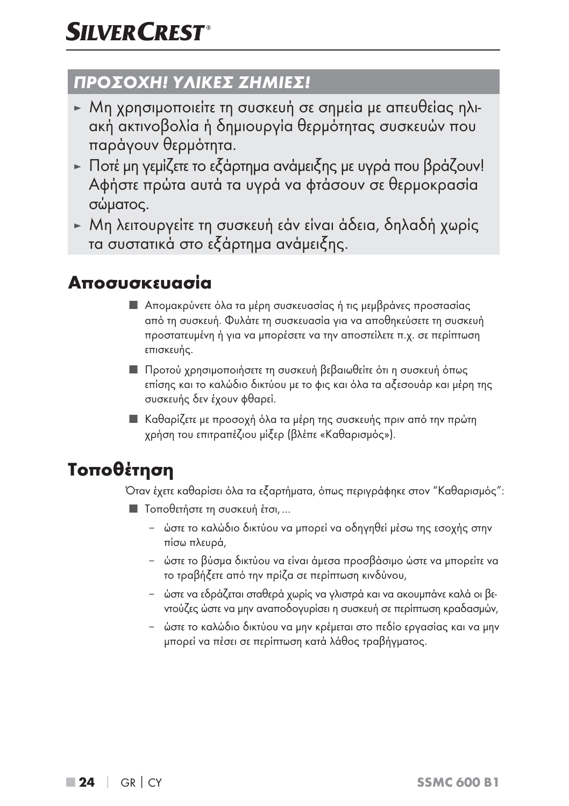### ΠΡΟΣΟΧΗ! ΥΛΙΚΕΣ ΖΗΜΙΕΣ!

- ► Μη χρησιμοποιείτε τη συσκευή σε σημεία με απευθείας ηλιακή ακτινοβολία ή δημιουργία θερμότητας συσκευών που παράγουν θερμότητα.
- ► Ποτέ μη γεμίζετε το εξάρτημα ανάμειξης με υγρά που βράζουν! Αφήστε πρώτα αυτά τα υγρά να φτάσουν σε θερμοκρασία σώματος.
- ► Μη λειτουργείτε τη συσκευή εάν είναι άδεια, δηλαδή χωρίς τα συστατικά στο εξάρτημα ανάμειξης.

### Αποσυσκευασία

- Απομακρύνετε όλα τα μέρη συσκευασίας ή τις μεμβράνες προστασίας από τη συσκευή. Φυλάτε τη συσκευασία για να αποθηκεύσετε τη συσκευή προστατευμένη ή για να μπορέσετε να την αποστείλετε π.χ. σε περίπτωση επισκευής.
- Προτού χρησιμοποιήσετε τη συσκευή βεβαιωθείτε ότι η συσκευή όπως επίσης και το καλώδιο δικτύου με το φις και όλα τα αξεσουάρ και μέρη της συσκευής δεν έχουν φθαρεί.
- Καθαρίζετε με προσοχή όλα τα μέρη της συσκευής πριν από την πρώτη χρήση του επιτραπέζιου μίξερ (βλέπε «Καθαρισμός»).

## Τοποθέτηση

Όταν έχετε καθαρίσει όλα τα εξαρτήματα, όπως περιγράφηκε στον "Καθαρισμός":

- Τοποθετήστε τη συσκευή έτσι, …
	- ώστε το καλώδιο δικτύου να μπορεί να οδηγηθεί μέσω της εσοχής στην πίσω πλευρά,
	- ώστε το βύσμα δικτύου να είναι άμεσα προσβάσιμο ώστε να μπορείτε να το τραβήξετε από την πρίζα σε περίπτωση κινδύνου,
	- ώστε να εδράζεται σταθερά χωρίς να γλιστρά και να ακουμπάνε καλά οι βεντούζες ώστε να μην αναποδογυρίσει η συσκευή σε περίπτωση κραδασμών,
	- ώστε το καλώδιο δικτύου να μην κρέμεται στο πεδίο εργασίας και να μην μπορεί να πέσει σε περίπτωση κατά λάθος τραβήγματος.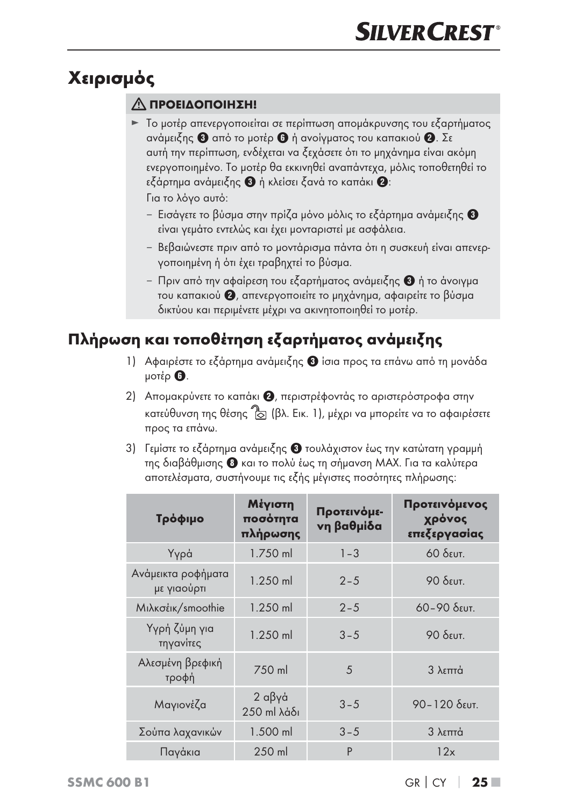## Χειρισμός

#### ΠΡΟΕΙΔΟΠΟΙΗΣΗ!

- ► Το μοτέρ απενεργοποιείται σε περίπτωση απομάκρυνσης του εξαρτήματος ανάμειξης  $\bigcirc$  από το μοτέρ  $\bigcirc$  ή ανοίγματος του καπακιού  $\bigcirc$ . Σε αυτή την περίπτωση, ενδέχεται να ξεχάσετε ότι το μηχάνημα είναι ακόμη ενεργοποιημένο. Το μοτέρ θα εκκινηθεί αναπάντεχα, μόλις τοποθετηθεί το εξάρτημα ανάμειξης  $\bigcirc$  ή κλείσει ξανά το καπάκι  $\bigcirc$ : Για το λόγο αυτό:
	- Εισάγετε το βύσμα στην πρίζα μόνο μόλις το εξάρτημα ανάμειξης  $\bigcirc$ είναι γεμάτο εντελώς και έχει μονταριστεί με ασφάλεια.
	- Βεβαιώνεστε πριν από το μοντάρισμα πάντα ότι η συσκευή είναι απενεργοποιημένη ή ότι έχει τραβηχτεί το βύσμα.
	- Πριν από την αφαίρεση του εξαρτήματος ανάμειξης  $\bigcirc$  ή το άνοιγμα του καπακιού 2, απενεργοποιείτε το μηχάνημα, αφαιρείτε το βύσμα δικτύου και περιμένετε μέχρι να ακινητοποιηθεί το μοτέρ.

### Πλήρωση και τοποθέτηση εξαρτήματος ανάμειξης

- 1) Αφαιρέστε το εξάρτημα ανάμειξης <sup>3</sup> ίσια προς τα επάνω από τη μονάδα μοτέρ 6.
- 2) Απομακρύνετε το καπάκι 2, περιστρέφοντάς το αριστερόστροφα στην κατεύθυνση της θέσης (βλ. Εικ. 1), μέχρι να μπορείτε να το αφαιρέσετε προς τα επάνω.
- 3) Γεμίστε το εξάρτημα ανάμειξης <sup>3</sup> τουλάχιστον έως την κατώτατη γραμμή της διαβάθμισης 8 και το πολύ έως τη σήμανση MAX. Για τα καλύτερα αποτελέσματα, συστήνουμε τις εξής μέγιστες ποσότητες πλήρωσης:

| Τρόφιμο                           | Μέγιστη<br>ποσότητα<br>πλήρωσης | Προτεινόμε-<br>νη βαθμίδα | Προτεινόμενος<br>χρόνος<br>επεξεργασίας |
|-----------------------------------|---------------------------------|---------------------------|-----------------------------------------|
| Υγρά                              | 1.750 ml                        | $1 - 3$                   | <b>60 δευτ.</b>                         |
| Ανάμεικτα ροφήματα<br>με γιαούρτι | 1.250 ml                        | $2 - 5$                   | 90 δευτ.                                |
| Mιλκσέικ/smoothie                 | 1.250 ml                        | $2 - 5$                   | 60-90 δευτ.                             |
| Υγρή ζύμη για<br>τηγανίτες        | 1.250 ml                        | $3 - 5$                   | 90 δευτ.                                |
| Αλεσμένη βρεφική<br>τροφή         | 750 ml                          | 5                         | 3 λεπτά                                 |
| Μαγιονέζα                         | 2 αβγά<br>250 ml λάδι           | $3 - 5$                   | 90-120 δευτ.                            |
| Σούπα λαχανικών                   | 1.500 ml                        | $3 - 5$                   | 3 λεπτά                                 |
| Παγάκια                           | 250 ml                          | P                         | 12x                                     |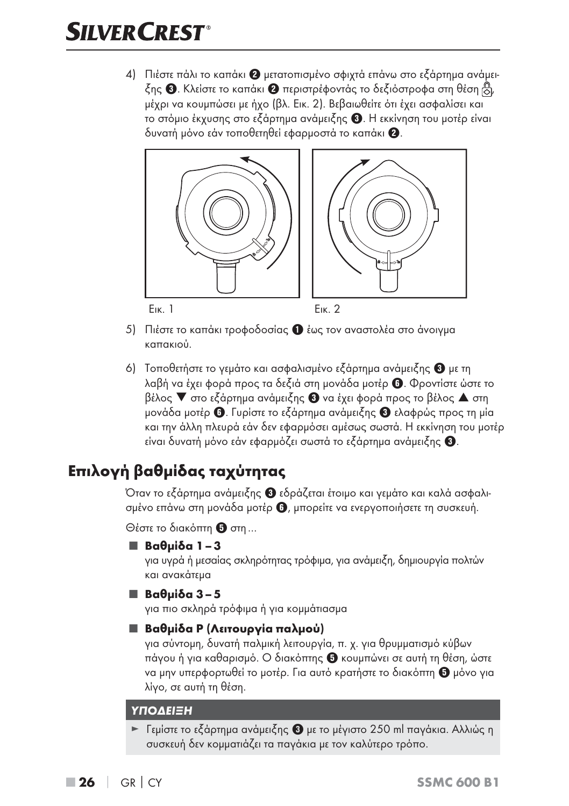4) Πιέστε πάλι το καπάκι 2 μετατοπισμένο σφιχτά επάνω στο εξάρτημα ανάμειξης  $\bigcirc$ . Κλείστε το καπάκι  $\bigcirc$  περιστρέφοντάς το δεξιόστροφα στη θέση  $\bigcirc$ , μέχρι να κουμπώσει με ήχο (βλ. Εικ. 2). Βεβαιωθείτε ότι έχει ασφαλίσει και το στόμιο έκχυσης στο εξάρτημα ανάμειξης 3. Η εκκίνηση του μοτέρ είναι δυνατή μόνο εάν τοποθετηθεί εφαρμοστά το καπάκι <sup>2</sup>.

![](_page_28_Figure_2.jpeg)

![](_page_28_Picture_3.jpeg)

- 5) Πιέστε το καπάκι τροφοδοσίας <sup>1</sup> έως τον αναστολέα στο άνοιγμα καπακιού.
- 6) Τοποθετήστε το γεμάτο και ασφαλισμένο εξάρτημα ανάμειξης  $\bigcirc$  με τη λαβή να έχει φορά προς τα δεξιά στη μονάδα μοτέρ 6. Φροντίστε ώστε το βέλος  $\blacktriangledown$  στο εξάρτημα ανάμειξης  $\Theta$  να έχει φορά προς το βέλος  $\blacktriangle$  στη μονάδα μοτέρ  $\mathbf 0$ . Γυρίστε το εξάρτημα ανάμειξης  $\mathbf 0$  ελαφρώς προς τη μία και την άλλη πλευρά εάν δεν εφαρμόσει αμέσως σωστά. Η εκκίνηση του μοτέρ είναι δυνατή μόνο εάν εφαρμόζει σωστά το εξάρτημα ανάμειξης  $\bigcirc$ .

### Επιλογή βαθμίδας ταχύτητας

Όταν το εξάρτημα ανάμειξης 3 εδράζεται έτοιμο και γεμάτο και καλά ασφαλισμένο επάνω στη μονάδα μοτέρ 6, μπορείτε να ενεργοποιήσετε τη συσκευή.

Θέστε το διακόπτη <sup>5</sup> στη ...

■ Bαθμίδα 1 – 3

για υγρά ή μεσαίας σκληρότητας τρόφιμα, για ανάμειξη, δημιουργία πολτών και ανακάτεμα

■ Bαθμίδα 3 – 5

για πιο σκληρά τρόφιμα ή για κομμάτιασμα

#### ■ Βαθμίδα P (Λειτουργία παλμού)

για σύντομη, δυνατή παλμική λειτουργία, π. χ. για θρυμματισμό κύβων πάγου ή για καθαρισμό. Ο διακόπτης  $\bigoplus$  κουμπώνει σε αυτή τη θέση, ώστε να μην υπερφορτωθεί το μοτέρ. Για αυτό κρατήστε το διακόπτη  $\bm{\Theta}$  μόνο για λίγο, σε αυτή τη θέση.

#### ΥΠΟΔΕΙΞΗ

► Γεμίστε το εξάρτημα ανάμειξης 3 με το μέγιστο 250 ml παγάκια. Αλλιώς η συσκευή δεν κομματιάζει τα παγάκια με τον καλύτερο τρόπο.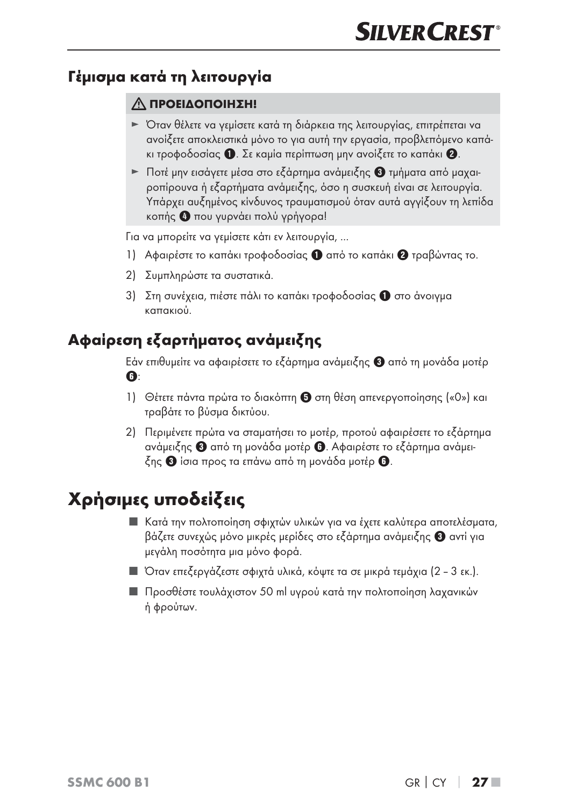### Γέμισμα κατά τη λειτουργία

### ΠΡΟΕΙΔΟΠΟΙΗΣΗ!

- ► Όταν θέλετε να γεμίσετε κατά τη διάρκεια της λειτουργίας, επιτρέπεται να ανοίξετε αποκλειστικά μόνο το για αυτή την εργασία, προβλεπόμενο καπάκι τροφοδοσίας  $\bigcirc$ . Σε καμία περίπτωση μην ανοίζετε το καπάκι  $\bigcirc$ .
- ► Ποτέ μην εισάγετε μέσα στο εξάρτημα ανάμειξης <sup>4</sup> τμήματα από μαχαιροπίρουνα ή εξαρτήματα ανάμειξης, όσο η συσκευή είναι σε λειτουργία. Υπάρχει αυξημένος κίνδυνος τραυματισμού όταν αυτά αγγίξουν τη λεπίδα κοπής 4 που γυρνάει πολύ γρήγορα!

Για να μπορείτε να γεμίσετε κάτι εν λειτουργία, ...

- 1) Αφαιρέστε το καπάκι τροφοδοσίας <sup>1</sup> από το καπάκι <sup>2</sup> τραβώντας το.
- 2) Συμπληρώστε τα συστατικά.
- 3) Στη συνέχεια, πιέστε πάλι το καπάκι τροφοδοσίας  $\bullet$  στο άνοιγμα καπακιού.

### Αφαίρεση εξαρτήματος ανάμειξης

Εάν επιθυμείτε να αφαιρέσετε το εξάρτημα ανάμειξης <sup>3</sup> από τη μονάδα μοτέρ  $\mathbf{O}$ :

- 1) Θέτετε πάντα πρώτα το διακόπτη **5 στη** θέση απενεργοποίησης («0») και τραβάτε το βύσμα δικτύου.
- 2) Περιμένετε πρώτα να σταματήσει το μοτέρ, προτού αφαιρέσετε το εξάρτημα ανάμειξης 3 από τη μονάδα μοτέρ 6. Αφαιρέστε το εξάρτημα ανάμειξης 3 ίσια προς τα επάνω από τη μονάδα μοτέρ 6.

## Χρήσιμες υποδείξεις

- Κατά την πολτοποίηση σφιχτών υλικών για να έχετε καλύτερα αποτελέσματα, βάζετε συνεχώς μόνο μικρές μερίδες στο εξάρτημα ανάμειξης 3 αντί για μεγάλη ποσότητα μια μόνο φορά.
- Όταν επεξεργάζεστε σφιχτά υλικά, κόψτε τα σε μικρά τεμάχια (2 3 εκ.).
- Προσθέστε τουλάχιστον 50 ml υγρού κατά την πολτοποίηση λαχανικών ή φρούτων.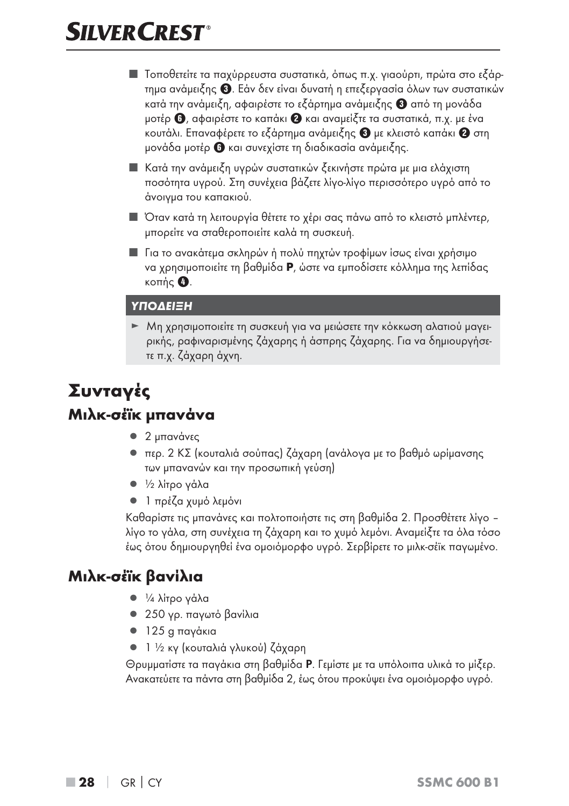- Τοποθετείτε τα παχύρρευστα συστατικά, όπως π.χ. γιαούρτι, πρώτα στο εξάρτημα ανάμειξης 3. Εάν δεν είναι δυνατή η επεξεργασία όλων των συστατικών κατά την ανάμειξη, αφαιρέστε το εξάρτημα ανάμειξης <sup>3</sup> από τη μονάδα μοτέρ 6, αφαιρέστε το καπάκι 2 και αναμείξτε τα συστατικά, π.χ. με ένα κουτάλι. Επαναφέρετε το εξάρτημα ανάμειξης <sup>3</sup> με κλειστό καπάκι <sup>3</sup> στη μονάδα μοτέρ 6 και συνεχίστε τη διαδικασία ανάμειξης.
- Κατά την ανάμειξη υγρών συστατικών ξεκινήστε πρώτα με μια ελάχιστη ποσότητα υγρού. Στη συνέχεια βάζετε λίγο-λίγο περισσότερο υγρό από το άνοιγμα του καπακιού.
- Όταν κατά τη λειτουργία θέτετε το χέρι σας πάνω από το κλειστό μπλέντερ, μπορείτε να σταθεροποιείτε καλά τη συσκευή.
- Για το ανακάτεμα σκληρών ή πολύ πηχτών τροφίμων ίσως είναι χρήσιμο να χρησιμοποιείτε τη βαθμίδα P, ώστε να εμποδίσετε κόλλημα της λεπίδας κοπής 4.

#### ΥΠΟΔΕΙΞΗ

► Μη χρησιμοποιείτε τη συσκευή για να μειώσετε την κόκκωση αλατιού μαγειρικής, ραφιναρισμένης ζάχαρης ή άσπρης ζάχαρης. Για να δημιουργήσετε π.χ. ζάχαρη άχνη.

## Συνταγές Μιλκ-σέϊκ μπανάνα

- ▯ 2 μπανάνες
- ▯ περ. 2 ΚΣ (κουταλιά σούπας) ζάχαρη (ανάλογα με το βαθμό ωρίμανσης των μπανανών και την προσωπική γεύση)
- ▯ ½ λίτρο γάλα
- 1 πρέζα χυμό λεμόνι

Καθαρίστε τις μπανάνες και πολτοποιήστε τις στη βαθμίδα 2. Προσθέτετε λίγο – λίγο το γάλα, στη συνέχεια τη ζάχαρη και το χυμό λεμόνι. Αναμείξτε τα όλα τόσο έως ότου δημιουργηθεί ένα ομοιόμορφο υγρό. Σερβίρετε το μιλκ-σέϊκ παγωμένο.

### Μιλκ-σέϊκ βανίλια

- ▯ ¼ λίτρο γάλα
- ▯ 250 γρ. παγωτό βανίλια
- $\bullet$  125 g παγάκια
- ▯ 1 ½ κγ (κουταλιά γλυκού) ζάχαρη

Θρυμματίστε τα παγάκια στη βαθμίδα P. Γεμίστε με τα υπόλοιπα υλικά το μίξερ. Ανακατεύετε τα πάντα στη βαθμίδα 2, έως ότου προκύψει ένα ομοιόμορφο υγρό.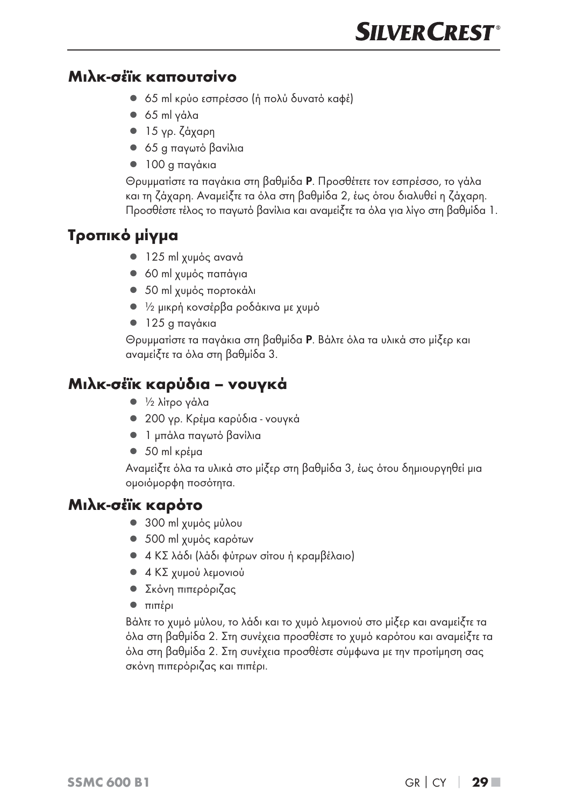### Μιλκ-σέϊκ καπουτσίνο

- ▯ 65 ml κρύο εσπρέσσο (ή πολύ δυνατό καφέ)
- 65 ml γάλα
- $\bullet$  15 γρ. ζάγαρη
- 65 g παγωτό βανίλια
- ▯ 100 g παγάκια

Θρυμματίστε τα παγάκια στη βαθμίδα P. Προσθέτετε τον εσπρέσσο, το γάλα και τη ζάχαρη. Αναμείξτε τα όλα στη βαθμίδα 2, έως ότου διαλυθεί η ζάχαρη. Προσθέστε τέλος το παγωτό βανίλια και αναμείξτε τα όλα για λίγο στη βαθμίδα 1.

### Τροπικό μίγμα

- ▯ 125 ml χυμός ανανά
- 60 ml χυμός παπάνια
- 50 ml χυμός πορτοκάλι
- ▯ ½ μικρή κονσέρβα ροδάκινα με χυμό
- $\bullet$  125 g παγάκια

Θρυμματίστε τα παγάκια στη βαθμίδα P. Βάλτε όλα τα υλικά στο μίξερ και αναμείξτε τα όλα στη βαθμίδα 3.

### Μιλκ-σέϊκ καρύδια – νουγκά

- ▯ ½ λίτρο γάλα
- ▯ 200 γρ. Κρέμα καρύδια νουγκά
- ▯ 1 μπάλα παγωτό βανίλια
- $\bullet$  50 ml κρέμα

Αναμείξτε όλα τα υλικά στο μίξερ στη βαθμίδα 3, έως ότου δημιουργηθεί μια ομοιόμορφη ποσότητα.

### Μιλκ-σέϊκ καρότο

- 300 ml χυμός μύλου
- 500 ml χυμός καρότων
- 4 ΚΣ λάδι (λάδι φύτρων σίτου ή κραμβέλαιο)
- 4 ΚΣ χυμού λεμονιού
- ▯ Σκόνη πιπερόριζας
- $\bullet$  πιπέρι

Βάλτε το χυμό μύλου, το λάδι και το χυμό λεμονιού στο μίξερ και αναμείξτε τα όλα στη βαθμίδα 2. Στη συνέχεια προσθέστε το χυμό καρότου και αναμείξτε τα όλα στη βαθμίδα 2. Στη συνέχεια προσθέστε σύμφωνα με την προτίμηση σας σκόνη πιπερόριζας και πιπέρι.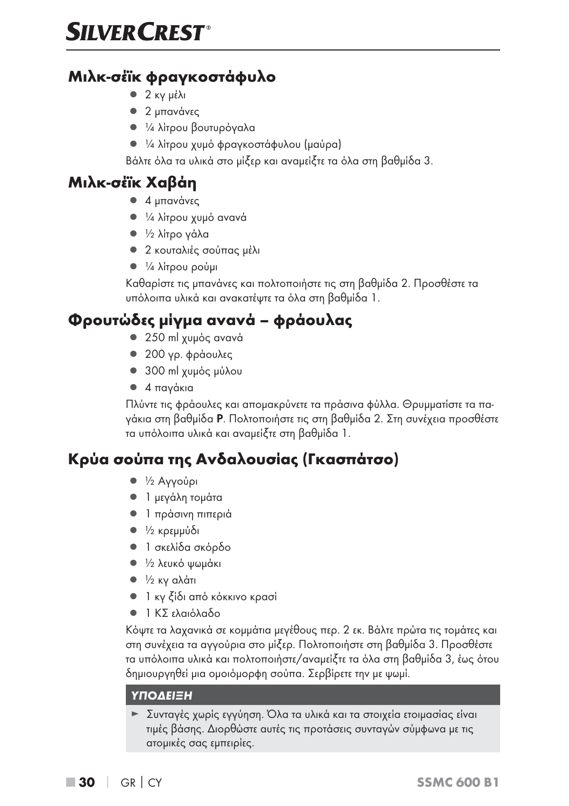### Μιλκ-σέϊκ φραγκοστάφυλο

- ▯ 2 κγ μέλι
- ▯ 2 μπανάνες
- ▯ ¼ λίτρου βουτυρόγαλα
- ▯ ¼ λίτρου χυμό φραγκοστάφυλου (μαύρα)

Βάλτε όλα τα υλικά στο μίξερ και αναμείξτε τα όλα στη βαθμίδα 3.

### Μιλκ-σέϊκ Χαβάη

- $\bullet$  4 μπανάνες
- ¼ λίτρου χυμό ανανά
- $\bullet$   $\frac{1}{2}$  λίτρο γάλα
- 2 κουταλιές σούπας μέλι
- ¼ λίτρου ρούμι

Καθαρίστε τις μπανάνες και πολτοποιήστε τις στη βαθμίδα 2. Προσθέστε τα υπόλοιπα υλικά και ανακατέψτε τα όλα στη βαθμίδα 1.

### Φρουτώδες μίγμα ανανά – φράουλας

- $\bullet$  250 ml χυμός ανανά
- ▯ 200 γρ. φράουλες
- 300 ml χυμός μύλου
- **•** 4 παγάκια

Πλύντε τις φράουλες και απομακρύνετε τα πράσινα φύλλα. Θρυμματίστε τα παγάκια στη βαθμίδα P. Πολτοποιήστε τις στη βαθμίδα 2. Στη συνέχεια προσθέστε τα υπόλοιπα υλικά και αναμείξτε στη βαθμίδα 1.

### Κρύα σούπα της Ανδαλουσίας (Γκασπάτσο)

- $\bullet$  ½ Αννούρι
- ▯ 1 μεγάλη τομάτα
- ▯ 1 πράσινη πιπεριά
- ½ κρεμμύδι
- 1 σκελίδα σκόρδο
- $\bullet$   $\frac{1}{2}$  λευκό ψωμάκι
- $\bullet$   $\frac{1}{2}$  κγ αλάτι
- ▯ 1 κγ ξίδι από κόκκινο κρασί
- 1 ΚΣ ελαιόλαδο

Κόψτε τα λαχανικά σε κομμάτια μεγέθους περ. 2 εκ. Βάλτε πρώτα τις τομάτες και στη συνέχεια τα αγγούρια στο μίξερ. Πολτοποιήστε στη βαθμίδα 3. Προσθέστε τα υπόλοιπα υλικά και πολτοποιήστε/αναμείξτε τα όλα στη βαθμίδα 3, έως ότου δημιουργηθεί μια ομοιόμορφη σούπα. Σερβίρετε την με ψωμί.

#### ΥΠΟΔΕΙΞΗ

► Συνταγές χωρίς εγγύηση. Όλα τα υλικά και τα στοιχεία ετοιμασίας είναι τιμές βάσης. Διορθώστε αυτές τις προτάσεις συνταγών σύμφωνα με τις ατομικές σας εμπειρίες.

■ 30 │ GR│CY SSMC 600 B1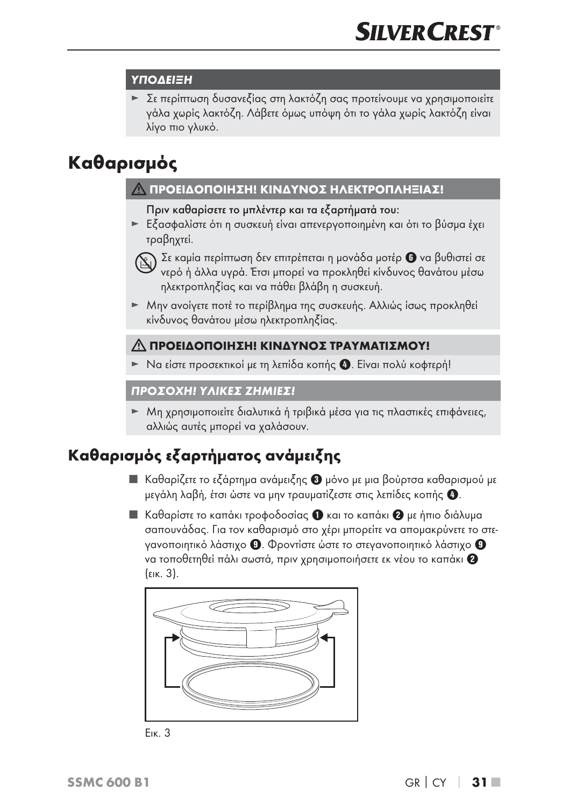#### ΥΠΟΔΕΙΞΗ

► Σε περίπτωση δυσανεξίας στη λακτόζη σας προτείνουμε να χρησιμοποιείτε γάλα χωρίς λακτόζη. Λάβετε όμως υπόψη ότι το γάλα χωρίς λακτόζη είναι λίγο πιο γλυκό.

## Καθαρισμός

#### ΠΡΟΕΙΔΟΠΟΙΗΣΗ! ΚΙΝΔΥΝΟΣ ΗΛΕΚΤΡΟΠΛΗΞΙΑΣ!

Πριν καθαρίσετε το μπλέντερ και τα εξαρτήματά του:

► Εξασφαλίστε ότι η συσκευή είναι απενεργοποιημένη και ότι το βύσμα έχει τραβηχτεί.

![](_page_33_Picture_7.jpeg)

 $\widehat{\mathcal{C}}$ ) Σε καμία περίπτωση δεν επιτρέπεται η μονάδα μοτέρ  $\bm{\Theta}$  να βυθιστεί σε νερό ή άλλα υγρά. Έτσι μπορεί να προκληθεί κίνδυνος θανάτου μέσω ηλεκτροπληξίας και να πάθει βλάβη η συσκευή.

► Μην ανοίγετε ποτέ το περίβλημα της συσκευής. Αλλιώς ίσως προκληθεί κίνδυνος θανάτου μέσω ηλεκτροπληξίας.

#### ΠΡΟΕΙΔΟΠΟΙΗΣΗ! ΚΙΝΔΥΝΟΣ ΤΡΑΥΜΑΤΙΣΜΟΥ!

Να είστε προσεκτικοί με τη λεπίδα κοπής <sup>4</sup>. Είναι πολύ κοφτερή!

#### ΠΡΟΣΟΧΗ! ΥΛΙΚΕΣ ΖΗΜΙΕΣ!

► Μη χρησιμοποιείτε διαλυτικά ή τριβικά μέσα για τις πλαστικές επιφάνειες, αλλιώς αυτές μπορεί να χαλάσουν.

### Καθαρισμός εξαρτήματος ανάμειξης

- Καθαρίζετε το εξάρτημα ανάμειξης μόνο με μια βούρτσα καθαρισμού με μεγάλη λαβή, έτσι ώστε να μην τραυματίζεστε στις λεπίδες κοπής  $\bullet$ .
- Καθαρίστε το καπάκι τροφοδοσίας και το καπάκι με ήπιο διάλυμα σαπουνάδας. Για τον καθαρισμό στο χέρι μπορείτε να απομακρύνετε το στεγανοποιητικό λάστιχο 9. Φροντίστε ώστε το στεγανοποιητικό λάστιχο 9 να τοποθετηθεί πάλι σωστά, πριν χρησιμοποιήσετε εκ νέου το καπάκι 2 (εικ. 3).

![](_page_33_Picture_17.jpeg)

Εικ. 3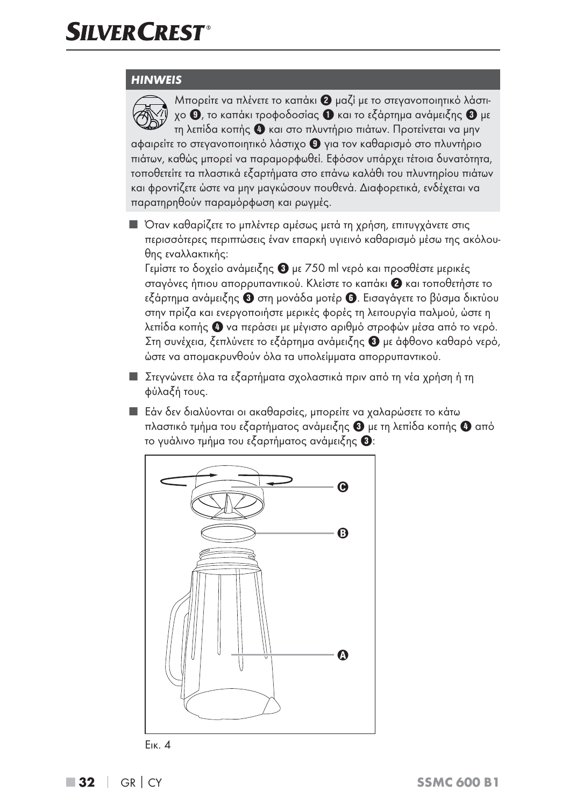## **SILVER CREST®**

#### **HINWEIS**

![](_page_34_Picture_2.jpeg)

Μπορείτε να πλένετε το καπάκι 2 μαζί με το στεγανοποιητικό λάστιχο <sup>4</sup> χο το καπάκι τροφοδοσίας <sup>1</sup> και το εξάρτημα ανάμειξης <sup>4</sup> με τη λεπίδα κοπής 4 και στο πλυντήριο πιάτων. Προτείνεται να μην αφαιρείτε το στεγανοποιητικό λάστιχο 9 για τον καθαρισμό στο πλυντήριο πιάτων, καθώς μπορεί να παραμορφωθεί. Εφόσον υπάρχει τέτοια δυνατότητα, τοποθετείτε τα πλαστικά εξαρτήματα στο επάνω καλάθι του πλυντηρίου πιάτων και φροντίζετε ώστε να μην μαγκώσουν πουθενά. Διαφορετικά, ενδέχεται να παρατηρηθούν παραμόρφωση και ρωγμές.

■ Όταν καθαρίζετε το μπλέντερ αμέσως μετά τη χρήση, επιτυγχάνετε στις περισσότερες περιπτώσεις έναν επαρκή υγιεινό καθαρισμό μέσω της ακόλουθης εναλλακτικής:

Γεμίστε το δοχείο ανάμειξης 3 με 750 ml νερό και προσθέστε μερικές σταγόνες ήπιου απορρυπαντικού. Κλείστε το καπάκι 2 και τοποθετήστε το εξάρτημα ανάμειξης  $\bigcirc$  στη μονάδα μοτέρ  $\bigcirc$ . Εισαγάγετε το βύσμα δικτύου στην πρίζα και ενεργοποιήστε μερικές φορές τη λειτουργία παλμού, ώστε η λεπίδα κοπής 4 να περάσει με μέγιστο αριθμό στροφών μέσα από το νερό. Στη συνέχεια, ξεπλύνετε το εξάρτημα ανάμειξης <sup>3</sup> με άφθονο καθαρό νερό, ώστε να απομακρυνθούν όλα τα υπολείμματα απορρυπαντικού.

- Στεγνώνετε όλα τα εξαρτήματα σχολαστικά πριν από τη νέα χρήση ή τη φύλαξή τους.
- Εάν δεν διαλύονται οι ακαθαρσίες, μπορείτε να χαλαρώσετε το κάτω πλαστικό τμήμα του εξαρτήματος ανάμειξης <sup>3</sup> με τη λεπίδα κοπής <sup>3</sup> από το γυάλινο τμήμα του εξαρτήματος ανάμειξης  $\bigcirc$ :

![](_page_34_Figure_8.jpeg)

![](_page_34_Figure_9.jpeg)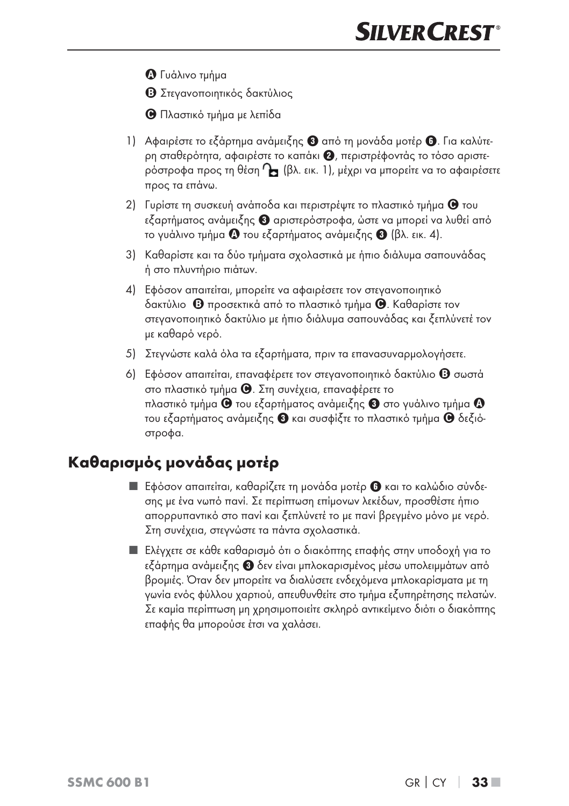A Γυάλινο τμήμα

B Στεγανοποιητικός δακτύλιος

C Πλαστικό τμήμα με λεπίδα

- 1) Αφαιρέστε το εξάρτημα ανάμειξης <sup>3</sup> από τη μονάδα μοτέρ **6.** Για καλύτερη σταθερότητα, αφαιρέστε το καπάκι 2, περιστρέφοντάς το τόσο αριστε- $\beta$ όστροφα προς τη θέση  $\sum$  (βλ. εικ. 1), μέχρι να μπορείτε να το αφαιρέσετε προς τα επάνω.
- 2) Γυρίστε τη συσκευή ανάποδα και περιστρέψτε το πλαστικό τμήμα  $\bigcirc$  του εξαρτήματος ανάμειξης <sup>3</sup> αριστερόστροφα, ώστε να μπορεί να λυθεί από το γυάλινο τμήμα  $\bm{\Omega}$  του εξαρτήματος ανάμειξης  $\bm{\Theta}$  (βλ. εικ. 4).
- 3) Καθαρίστε και τα δύο τμήματα σχολαστικά με ήπιο διάλυμα σαπουνάδας ή στο πλυντήριο πιάτων.
- 4) Εφόσον απαιτείται, μπορείτε να αφαιρέσετε τον στεγανοποιητικό δακτύλιο B προσεκτικά από το πλαστικό τμήμα C. Καθαρίστε τον στεγανοποιητικό δακτύλιο με ήπιο διάλυμα σαπουνάδας και ξεπλύνετέ τον με καθαρό νερό.
- 5) Στεγνώστε καλά όλα τα εξαρτήματα, πριν τα επανασυναρμολογήσετε.
- 6) Εφόσον απαιτείται, επαναφέρετε τον στεγανοποιητικό δακτύλιο B σωστά στο πλαστικό τμήμα C. Στη συνέχεια, επαναφέρετε το πλαστικό τμήμα  $\bm{\Theta}$  του εξαρτήματος ανάμειξης  $\bm{\Theta}$  στο γυάλινο τμήμα  $\bm{\Omega}$ του εξαρτήματος ανάμειξης <sup>3</sup> και συσφίξτε το πλαστικό τμήμα <sup>3</sup> δεξιόστροφα.

### Καθαρισμός μονάδας μοτέρ

- Εφόσον απαιτείται, καθαρίζετε τη μονάδα μοτέρ 6 και το καλώδιο σύνδεσης με ένα νωπό πανί. Σε περίπτωση επίμονων λεκέδων, προσθέστε ήπιο απορρυπαντικό στο πανί και ξεπλύνετέ το με πανί βρεγμένο μόνο με νερό. Στη συνέχεια, στεγνώστε τα πάντα σχολαστικά.
- Ελέγχετε σε κάθε καθαρισμό ότι ο διακόπτης επαφής στην υποδοχή για το εξάρτημα ανάμειξης 3 δεν είναι μπλοκαρισμένος μέσω υπολειμμάτων από βρομιές. Όταν δεν μπορείτε να διαλύσετε ενδεχόμενα μπλοκαρίσματα με τη γωνία ενός φύλλου χαρτιού, απευθυνθείτε στο τμήμα εξυπηρέτησης πελατών. Σε καμία περίπτωση μη χρησιμοποιείτε σκληρό αντικείμενο διότι ο διακόπτης επαφής θα μπορούσε έτσι να χαλάσει.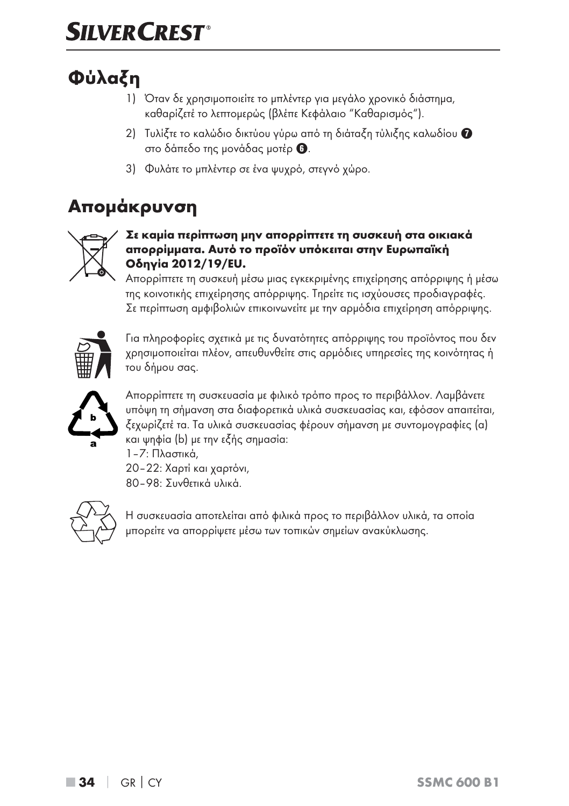## **SII VER CREST®**

## Φύλαξη

- 1) Όταν δε χρησιμοποιείτε το μπλέντερ για μεγάλο χρονικό διάστημα, καθαρίζετέ το λεπτομερώς (βλέπε Κεφάλαιο "Καθαρισμός").
- 2) Τυλίξτε το καλώδιο δικτύου γύρω από τη διάταξη τύλιξης καλωδίου 7 στο δάπεδο της μονάδας μοτέρ 6.
- 3) Φυλάτε το μπλέντερ σε ένα ψυχρό, στεγνό χώρο.

## Απομάκρυνση

![](_page_36_Picture_6.jpeg)

#### Σε καμία περίπτωση μην απορρίπτετε τη συσκευή στα οικιακά απορρίμματα. Αυτό το προϊόν υπόκειται στην Ευρωπαϊκή Οδηγία 2012/19/EU.

Απορρίπτετε τη συσκευή μέσω μιας εγκεκριμένης επιχείρησης απόρριψης ή μέσω της κοινοτικής επιχείρησης απόρριψης. Τηρείτε τις ισχύουσες προδιαγραφές. Σε περίπτωση αμφιβολιών επικοινωνείτε με την αρμόδια επιχείρηση απόρριψης.

![](_page_36_Picture_9.jpeg)

Για πληροφορίες σχετικά με τις δυνατότητες απόρριψης του προϊόντος που δεν χρησιμοποιείται πλέον, απευθυνθείτε στις αρμόδιες υπηρεσίες της κοινότητας ή του δήμου σας.

![](_page_36_Picture_11.jpeg)

 Απορρίπτετε τη συσκευασία με φιλικό τρόπο προς το περιβάλλον. Λαμβάνετε υπόψη τη σήμανση στα διαφορετικά υλικά συσκευασίας και, εφόσον απαιτείται, ξεχωρίζετέ τα. Τα υλικά συσκευασίας φέρουν σήμανση με συντομογραφίες (a) και ψηφία (b) με την εξής σημασία:

1–7: Πλαστικά,

20–22: Χαρτί και χαρτόνι,

80–98: Συνθετικά υλικά.

![](_page_36_Picture_16.jpeg)

Η συσκευασία αποτελείται από φιλικά προς το περιβάλλον υλικά, τα οποία μπορείτε να απορρίψετε μέσω των τοπικών σημείων ανακύκλωσης.

![](_page_36_Picture_18.jpeg)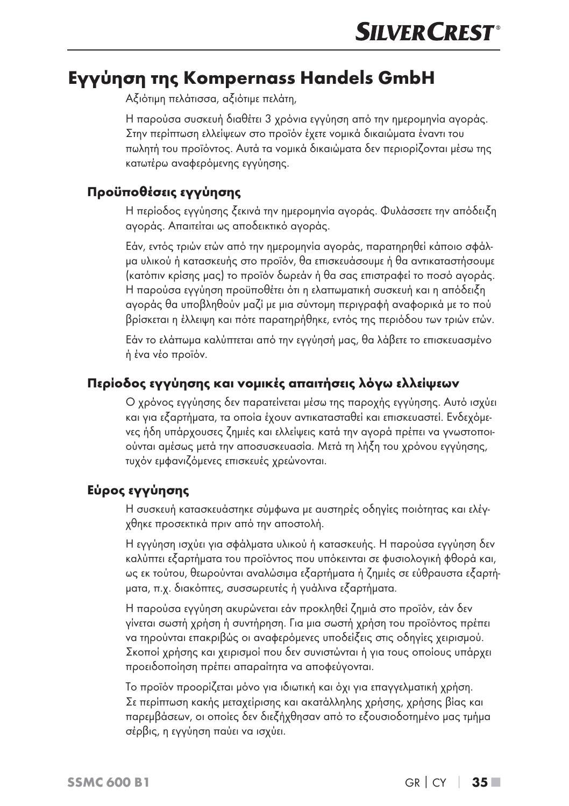### Εγγύηση της Kompernass Handels GmbH

Αξιότιμη πελάτισσα, αξιότιμε πελάτη,

Η παρούσα συσκευή διαθέτει 3 χρόνια εγγύηση από την ημερομηνία αγοράς. Στην περίπτωση ελλείψεων στο προϊόν έχετε νομικά δικαιώματα έναντι του πωλητή του προϊόντος. Αυτά τα νομικά δικαιώματα δεν περιορίζονται μέσω της κατωτέρω αναφερόμενης εγγύησης.

#### Προϋποθέσεις εγγύησης

Η περίοδος εγγύησης ξεκινά την ημερομηνία αγοράς. Φυλάσσετε την απόδειξη αγοράς. Απαιτείται ως αποδεικτικό αγοράς.

Εάν, εντός τριών ετών από την ημερομηνία αγοράς, παρατηρηθεί κάποιο σφάλμα υλικού ή κατασκευής στο προϊόν, θα επισκευάσουμε ή θα αντικαταστήσουμε (κατόπιν κρίσης μας) το προϊόν δωρεάν ή θα σας επιστραφεί το ποσό αγοράς. Η παρούσα εγγύηση προϋποθέτει ότι η ελαττωματική συσκευή και η απόδειξη αγοράς θα υποβληθούν μαζί με μια σύντομη περιγραφή αναφορικά με το πού βρίσκεται η έλλειψη και πότε παρατηρήθηκε, εντός της περιόδου των τριών ετών.

Εάν το ελάττωμα καλύπτεται από την εγγύησή μας, θα λάβετε το επισκευασμένο ή ένα νέο προϊόν.

#### Περίοδος εγγύησης και νομικές απαιτήσεις λόγω ελλείψεων

Ο χρόνος εγγύησης δεν παρατείνεται μέσω της παροχής εγγύησης. Αυτό ισχύει και για εξαρτήματα, τα οποία έχουν αντικατασταθεί και επισκευαστεί. Ενδεχόμενες ήδη υπάρχουσες ζημιές και ελλείψεις κατά την αγορά πρέπει να γνωστοποιούνται αμέσως μετά την αποσυσκευασία. Μετά τη λήξη του χρόνου εγγύησης, τυχόν εμφανιζόμενες επισκευές χρεώνονται.

#### Εύρος εγγύησης

Η συσκευή κατασκευάστηκε σύμφωνα με αυστηρές οδηγίες ποιότητας και ελέγχθηκε προσεκτικά πριν από την αποστολή.

Η εγγύηση ισχύει για σφάλματα υλικού ή κατασκευής. Η παρούσα εγγύηση δεν καλύπτει εξαρτήματα του προϊόντος που υπόκεινται σε φυσιολογική φθορά και, ως εκ τούτου, θεωρούνται αναλώσιμα εξαρτήματα ή ζημιές σε εύθραυστα εξαρτήματα, π.χ. διακόπτες, συσσωρευτές ή γυάλινα εξαρτήματα.

Η παρούσα εγγύηση ακυρώνεται εάν προκληθεί ζημιά στο προϊόν, εάν δεν γίνεται σωστή χρήση ή συντήρηση. Για μια σωστή χρήση του προϊόντος πρέπει να τηρούνται επακριβώς οι αναφερόμενες υποδείξεις στις οδηγίες χειρισμού. Σκοποί χρήσης και χειρισμοί που δεν συνιστώνται ή για τους οποίους υπάρχει προειδοποίηση πρέπει απαραίτητα να αποφεύγονται.

Το προϊόν προορίζεται μόνο για ιδιωτική και όχι για επαγγελματική χρήση. Σε περίπτωση κακής μεταχείρισης και ακατάλληλης χρήσης, χρήσης βίας και παρεμβάσεων, οι οποίες δεν διεξήχθησαν από το εξουσιοδοτημένο μας τμήμα σέρβις, η εγγύηση παύει να ισχύει.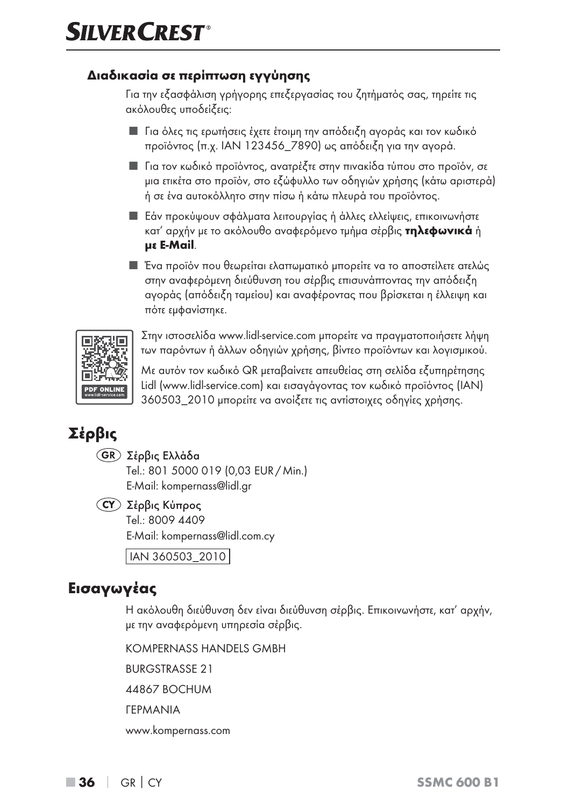#### Διαδικασία σε περίπτωση εγγύησης

Για την εξασφάλιση γρήγορης επεξεργασίας του ζητήματός σας, τηρείτε τις ακόλουθες υποδείξεις:

- Για όλες τις ερωτήσεις έχετε έτοιμη την απόδειξη αγοράς και τον κωδικό προϊόντος (π.χ. ΙΑΝ 123456\_7890) ως απόδειξη για την αγορά.
- Για τον κωδικό προϊόντος, ανατρέξτε στην πινακίδα τύπου στο προϊόν, σε μια ετικέτα στο προϊόν, στο εξώφυλλο των οδηγιών χρήσης (κάτω αριστερά) ή σε ένα αυτοκόλλητο στην πίσω ή κάτω πλευρά του προϊόντος.
- Εάν προκύψουν σφάλματα λειτουργίας ή άλλες ελλείψεις, επικοινωνήστε κατ' αρχήν με το ακόλουθο αναφερόμενο τμήμα σέρβις τηλεφωνικά ή με E-Mail.
- Ένα προϊόν που θεωρείται ελαττωματικό μπορείτε να το αποστείλετε ατελώς στην αναφερόμενη διεύθυνση του σέρβις επισυνάπτοντας την απόδειξη αγοράς (απόδειξη ταμείου) και αναφέροντας που βρίσκεται η έλλειψη και πότε εμφανίστηκε.

![](_page_38_Picture_7.jpeg)

 Στην ιστοσελίδα www.lidl-service.com μπορείτε να πραγματοποιήσετε λήψη των παρόντων ή άλλων οδηγιών χρήσης, βίντεο προϊόντων και λογισμικού.

Με αυτόν τον κωδικό QR μεταβαίνετε απευθείας στη σελίδα εξυπηρέτησης Lidl (www.lidl-service.com) και εισαγάγοντας τον κωδικό προϊόντος (IAN) 360503\_2010 μπορείτε να ανοίξετε τις αντίστοιχες οδηγίες χρήσης.

## Σέρβις

 Σέρβις Ελλάδα Tel.: 801 5000 019 (0,03 EUR / Min.) E-Mail: kompernass@lidl.gr

Σέρβις Κύπρος

Tel.: 8009 4409 E-Mail: kompernass@lidl.com.cy

IAN 360503\_2010

### Εισαγωγέας

Η ακόλουθη διεύθυνση δεν είναι διεύθυνση σέρβις. Επικοινωνήστε, κατ' αρχήν, με την αναφερόμενη υπηρεσία σέρβις.

KOMPERNASS HANDELS GMBH

BURGSTRASSE 21

44867 BOCHUM

ΓΕΡΜΑΝΙΑ

www.kompernass.com

■ 36 │ GR│CY SSMC 600 B1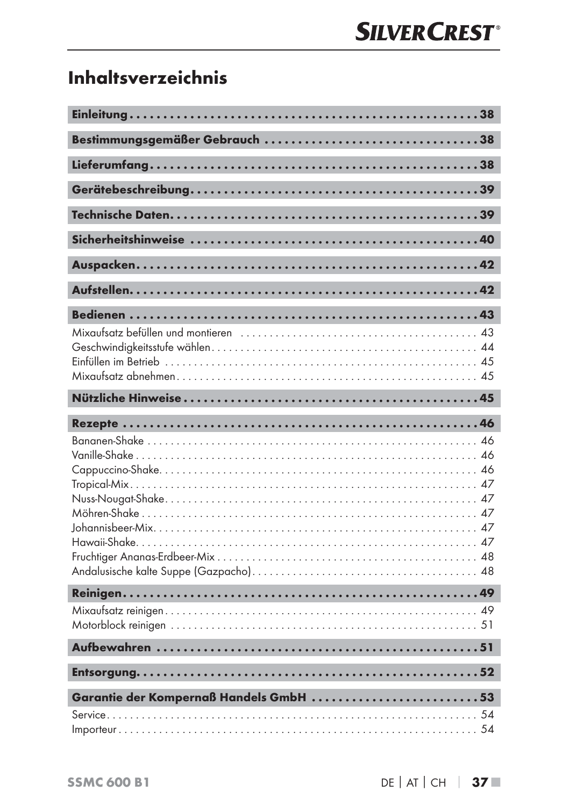## **Inhaltsverzeichnis**

| Bestimmungsgemäßer Gebrauch 38 |
|--------------------------------|
|                                |
|                                |
|                                |
|                                |
|                                |
|                                |
|                                |
|                                |
|                                |
|                                |
|                                |
|                                |
|                                |
|                                |
|                                |
|                                |
|                                |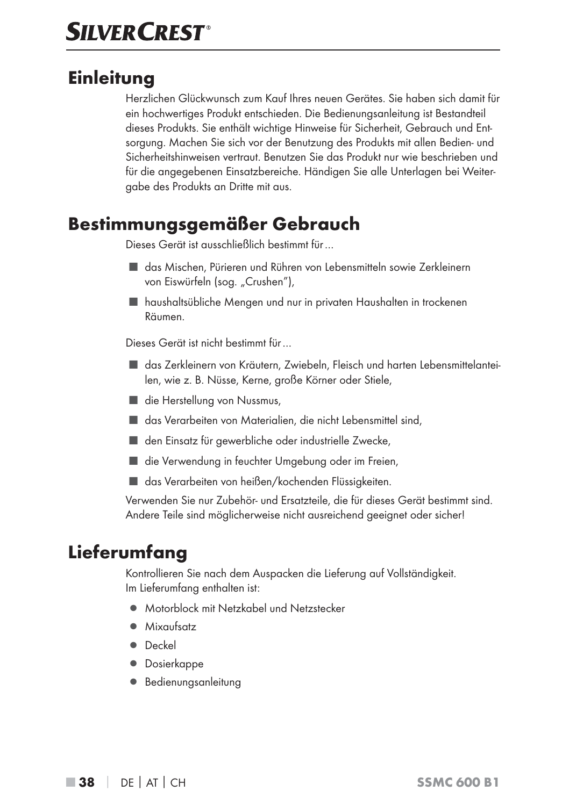### **Einleitung**

Herzlichen Glückwunsch zum Kauf Ihres neuen Gerätes. Sie haben sich damit für ein hochwertiges Produkt entschieden. Die Bedienungsanleitung ist Bestandteil dieses Produkts. Sie enthält wichtige Hinweise für Sicherheit, Gebrauch und Entsorgung. Machen Sie sich vor der Benutzung des Produkts mit allen Bedien- und Sicherheitshinweisen vertraut. Benutzen Sie das Produkt nur wie beschrieben und für die angegebenen Einsatzbereiche. Händigen Sie alle Unterlagen bei Weitergabe des Produkts an Dritte mit aus.

### Bestimmungsgemäßer Gebrauch

Dieses Gerät ist ausschließlich bestimmt für …

- das Mischen, Pürieren und Rühren von Lebensmitteln sowie Zerkleinern von Eiswürfeln (sog. "Crushen"),
- haushaltsübliche Mengen und nur in privaten Haushalten in trockenen Räumen.

Dieses Gerät ist nicht bestimmt für …

- das Zerkleinern von Kräutern, Zwiebeln, Fleisch und harten Lebensmittelanteilen, wie z. B. Nüsse, Kerne, große Körner oder Stiele,
- die Herstellung von Nussmus,
- das Verarbeiten von Materialien, die nicht Lebensmittel sind,
- den Einsatz für gewerbliche oder industrielle Zwecke,
- die Verwendung in feuchter Umgebung oder im Freien,
- das Verarbeiten von heißen/kochenden Flüssigkeiten.

Verwenden Sie nur Zubehör- und Ersatzteile, die für dieses Gerät bestimmt sind. Andere Teile sind möglicherweise nicht ausreichend geeignet oder sicher!

### Lieferumfang

Kontrollieren Sie nach dem Auspacken die Lieferung auf Vollständigkeit. Im Lieferumfang enthalten ist:

- Motorblock mit Netzkabel und Netzstecker
- Mixaufsatz
- Deckel
- Dosierkappe
- Bedienungsanleitung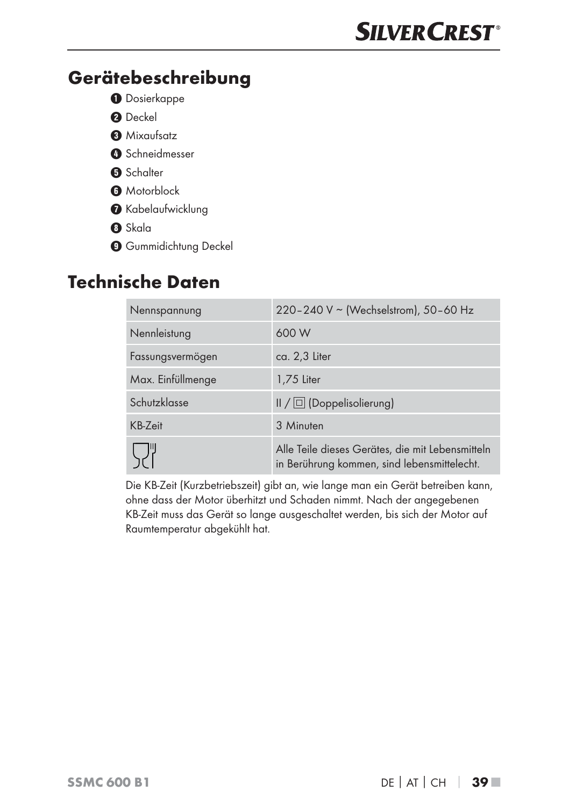### Gerätebeschreibung

- **1** Dosierkappe
- **2** Deckel
- **6** Mixaufsatz
- **4** Schneidmesser
- **6** Schalter
- **6** Motorblock
- **<sup>7</sup>** Kabelaufwicklung
- **8** Skala
- **9 Gummidichtung Deckel**

### Technische Daten

| Nennspannung      | 220-240 V ~ (Wechselstrom), 50-60 Hz                                                            |
|-------------------|-------------------------------------------------------------------------------------------------|
| Nennleistung      | 600 W                                                                                           |
| Fassungsvermögen  | ca. 2,3 Liter                                                                                   |
| Max. Einfüllmenge | 1,75 Liter                                                                                      |
| Schutzklasse      | $II / \Box$ (Doppelisolierung)                                                                  |
| KB-Zeit           | 3 Minuten                                                                                       |
|                   | Alle Teile dieses Gerätes, die mit Lebensmitteln<br>in Berührung kommen, sind lebensmittelecht. |

Die KB-Zeit (Kurzbetriebszeit) gibt an, wie lange man ein Gerät betreiben kann, ohne dass der Motor überhitzt und Schaden nimmt. Nach der angegebenen KB-Zeit muss das Gerät so lange ausgeschaltet werden, bis sich der Motor auf Raumtemperatur abgekühlt hat.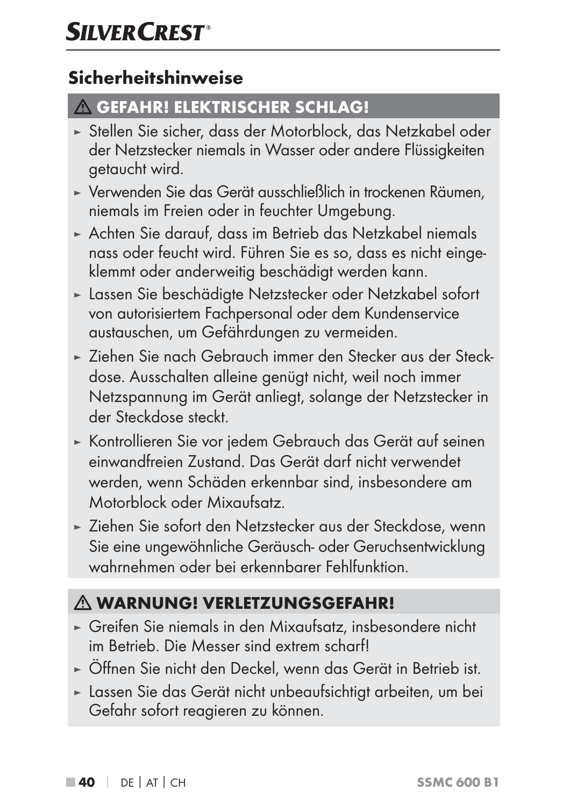## Sicherheitshinweise

## GEFAHR! ELEKTRISCHER SCHLAG!

- ► Stellen Sie sicher, dass der Motorblock, das Netzkabel oder der Netzstecker niemals in Wasser oder andere Flüssigkeiten getaucht wird.
- ► Verwenden Sie das Gerät ausschließlich in trockenen Räumen, niemals im Freien oder in feuchter Umgebung.
- ► Achten Sie darauf, dass im Betrieb das Netzkabel niemals nass oder feucht wird. Führen Sie es so, dass es nicht eingeklemmt oder anderweitig beschädigt werden kann.
- ► Lassen Sie beschädigte Netzstecker oder Netzkabel sofort von autorisiertem Fachpersonal oder dem Kundenservice austauschen, um Gefährdungen zu vermeiden.
- ► Ziehen Sie nach Gebrauch immer den Stecker aus der Steckdose. Ausschalten alleine genügt nicht, weil noch immer Netzspannung im Gerät anliegt, solange der Netzstecker in der Steckdose steckt.
- ► Kontrollieren Sie vor jedem Gebrauch das Gerät auf seinen einwandfreien Zustand. Das Gerät darf nicht verwendet werden, wenn Schäden erkennbar sind, insbesondere am Motorblock oder Mixaufsatz.
- ► Ziehen Sie sofort den Netzstecker aus der Steckdose, wenn Sie eine ungewöhnliche Geräusch- oder Geruchsentwicklung wahrnehmen oder bei erkennbarer Fehlfunktion.

## WARNUNG! VERLETZUNGSGEFAHR!

- ► Greifen Sie niemals in den Mixaufsatz, insbesondere nicht im Betrieb. Die Messer sind extrem scharf!
- ► Öffnen Sie nicht den Deckel, wenn das Gerät in Betrieb ist.
- ► Lassen Sie das Gerät nicht unbeaufsichtigt arbeiten, um bei Gefahr sofort reagieren zu können.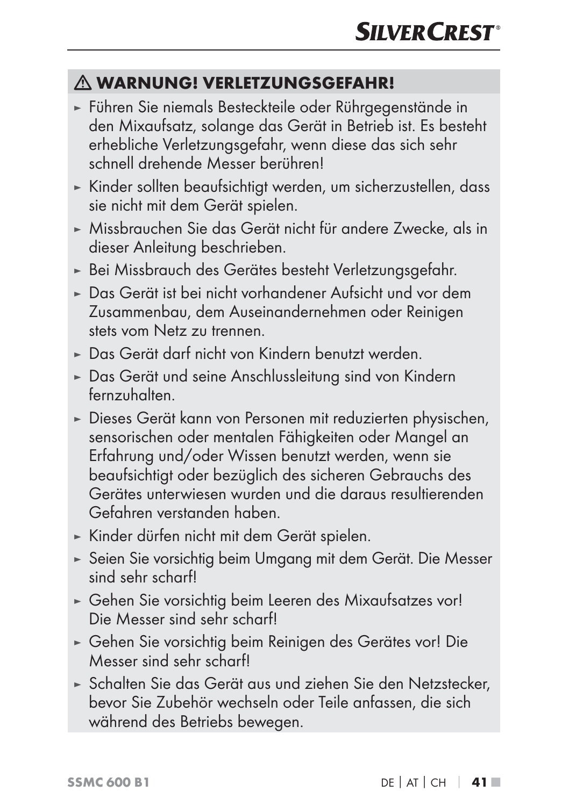## WARNUNG! VERLETZUNGSGEFAHR!

- ► Führen Sie niemals Besteckteile oder Rührgegenstände in den Mixaufsatz, solange das Gerät in Betrieb ist. Es besteht erhebliche Verletzungsgefahr, wenn diese das sich sehr schnell drehende Messer berühren!
- ► Kinder sollten beaufsichtigt werden, um sicherzustellen, dass sie nicht mit dem Gerät spielen.
- ► Missbrauchen Sie das Gerät nicht für andere Zwecke, als in dieser Anleitung beschrieben.
- ► Bei Missbrauch des Gerätes besteht Verletzungsgefahr.
- ► Das Gerät ist bei nicht vorhandener Aufsicht und vor dem Zusammenbau, dem Auseinandernehmen oder Reinigen stets vom Netz zu trennen.
- ► Das Gerät darf nicht von Kindern benutzt werden.
- ► Das Gerät und seine Anschlussleitung sind von Kindern fernzuhalten.
- ► Dieses Gerät kann von Personen mit reduzierten physischen, sensorischen oder mentalen Fähigkeiten oder Mangel an Erfahrung und/oder Wissen benutzt werden, wenn sie beaufsichtigt oder bezüglich des sicheren Gebrauchs des Gerätes unterwiesen wurden und die daraus resultierenden Gefahren verstanden haben.
- ► Kinder dürfen nicht mit dem Gerät spielen.
- ► Seien Sie vorsichtig beim Umgang mit dem Gerät. Die Messer sind sehr scharf!
- ► Gehen Sie vorsichtig beim Leeren des Mixaufsatzes vor! Die Messer sind sehr scharf!
- ► Gehen Sie vorsichtig beim Reinigen des Gerätes vor! Die Messer sind sehr scharf!
- ► Schalten Sie das Gerät aus und ziehen Sie den Netzstecker, bevor Sie Zubehör wechseln oder Teile anfassen, die sich während des Betriebs bewegen.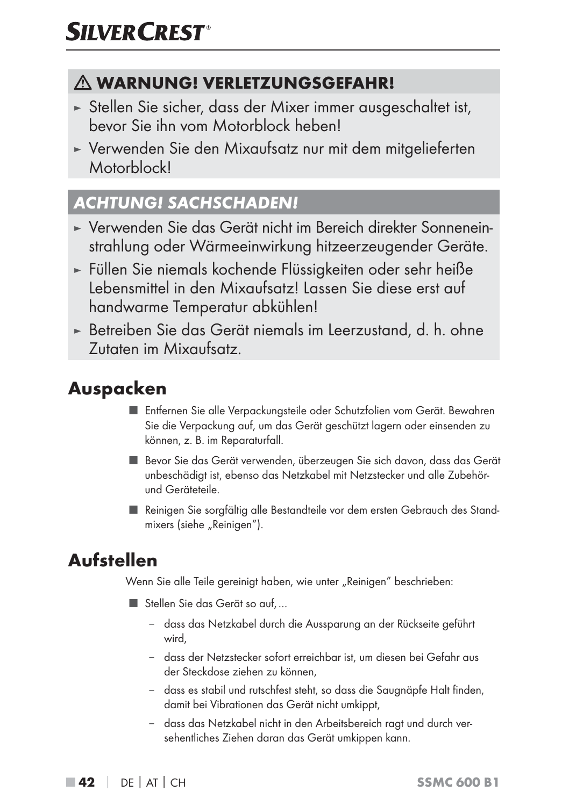### WARNUNG! VERLETZUNGSGEFAHR!

- ► Stellen Sie sicher, dass der Mixer immer ausgeschaltet ist, bevor Sie ihn vom Motorblock heben!
- ► Verwenden Sie den Mixaufsatz nur mit dem mitgelieferten Motorblock!

## ACHTUNG! SACHSCHADEN!

- ► Verwenden Sie das Gerät nicht im Bereich direkter Sonneneinstrahlung oder Wärmeeinwirkung hitzeerzeugender Geräte.
- ► Füllen Sie niemals kochende Flüssigkeiten oder sehr heiße Lebensmittel in den Mixaufsatz! Lassen Sie diese erst auf handwarme Temperatur abkühlen!
- ► Betreiben Sie das Gerät niemals im Leerzustand, d. h. ohne Zutaten im Mixaufsatz.

## Auspacken

- Entfernen Sie alle Verpackungsteile oder Schutzfolien vom Gerät. Bewahren Sie die Verpackung auf, um das Gerät geschützt lagern oder einsenden zu können, z. B. im Reparaturfall.
- Bevor Sie das Gerät verwenden, überzeugen Sie sich davon, dass das Gerät unbeschädigt ist, ebenso das Netzkabel mit Netzstecker und alle Zubehörund Geräteteile.
- Reinigen Sie sorgfältig alle Bestandteile vor dem ersten Gebrauch des Standmixers (siehe "Reinigen").

## Aufstellen

Wenn Sie alle Teile gereinigt haben, wie unter "Reinigen" beschrieben:

- Stellen Sie das Gerät so auf, …
	- dass das Netzkabel durch die Aussparung an der Rückseite geführt wird,
	- dass der Netzstecker sofort erreichbar ist, um diesen bei Gefahr aus der Steckdose ziehen zu können,
	- dass es stabil und rutschfest steht, so dass die Saugnäpfe Halt finden, damit bei Vibrationen das Gerät nicht umkippt,
	- dass das Netzkabel nicht in den Arbeitsbereich ragt und durch versehentliches Ziehen daran das Gerät umkippen kann.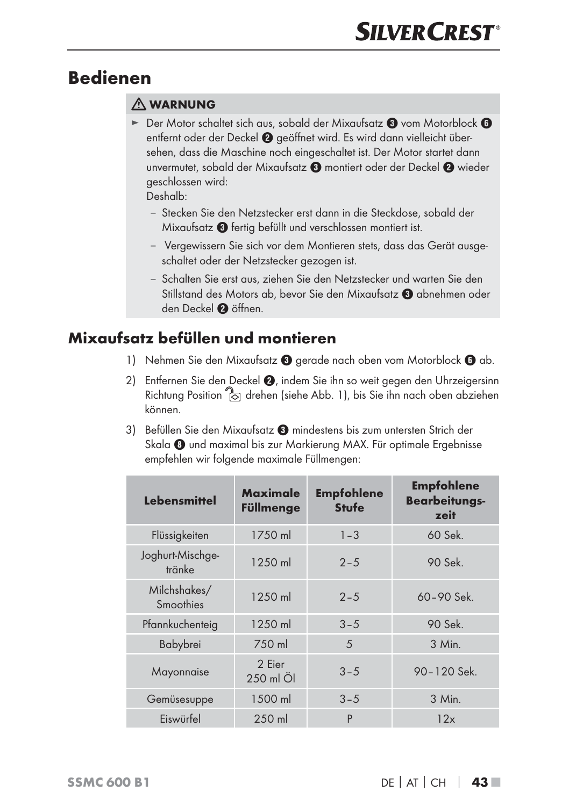### Bedienen

#### WARNUNG

► Der Motor schaltet sich aus, sobald der Mixaufsatz <sup>3</sup> vom Motorblock <sup>1</sup> entfernt oder der Deckel @ geöffnet wird. Es wird dann vielleicht übersehen, dass die Maschine noch eingeschaltet ist. Der Motor startet dann unvermutet, sobald der Mixaufsatz <sup>3</sup> montiert oder der Deckel <sup>3</sup> wieder geschlossen wird:

Deshalb:

- Stecken Sie den Netzstecker erst dann in die Steckdose, sobald der Mixaufsatz  $\bigcirc$  fertig befüllt und verschlossen montiert ist.
- Vergewissern Sie sich vor dem Montieren stets, dass das Gerät ausgeschaltet oder der Netzstecker gezogen ist.
- Schalten Sie erst aus, ziehen Sie den Netzstecker und warten Sie den Stillstand des Motors ab, bevor Sie den Mixaufsatz <sup>3</sup> abnehmen oder den Deckel 2 öffnen.

### Mixaufsatz befüllen und montieren

- 1) Nehmen Sie den Mixaufsatz <sup>3</sup> gerade nach oben vom Motorblock <sup>3</sup> ab.
- 2) Entfernen Sie den Deckel <sup>2</sup>, indem Sie ihn so weit gegen den Uhrzeigersinn Richtung Position  $\sqrt[3]{\infty}$  drehen (siehe Abb. 1), bis Sie ihn nach oben abziehen können.
- 3) Befüllen Sie den Mixaufsatz <sup>3</sup> mindestens bis zum untersten Strich der Skala <sup>3</sup> und maximal bis zur Markierung MAX. Für optimale Ergebnisse empfehlen wir folgende maximale Füllmengen:

| <b>Lebensmittel</b>        | Maximale<br><b>Füllmenge</b> | <b>Empfohlene</b><br><b>Stufe</b> | <b>Empfohlene</b><br><b>Bearbeitungs-</b><br>zeit |
|----------------------------|------------------------------|-----------------------------------|---------------------------------------------------|
| Flüssigkeiten              | 1750 ml                      | $1 - 3$                           | 60 Sek.                                           |
| Joghurt-Mischge-<br>tränke | 1250 ml                      | $2 - 5$                           | 90 Sek.                                           |
| Milchshakes/<br>Smoothies  | 1250 ml                      | $2 - 5$                           | 60-90 Sek.                                        |
| Pfannkuchenteig            | 1250 ml                      | $3 - 5$                           | 90 Sek.                                           |
| Babybrei                   | 750 ml                       | 5                                 | $3$ Min.                                          |
| Mayonnaise                 | 2 Eier<br>250 ml Öl          | $3 - 5$                           | 90-120 Sek.                                       |
| Gemüsesuppe                | 1500 ml                      | $3 - 5$                           | 3 Min.                                            |
| Eiswürfel                  | 250 ml                       | P                                 | 12x                                               |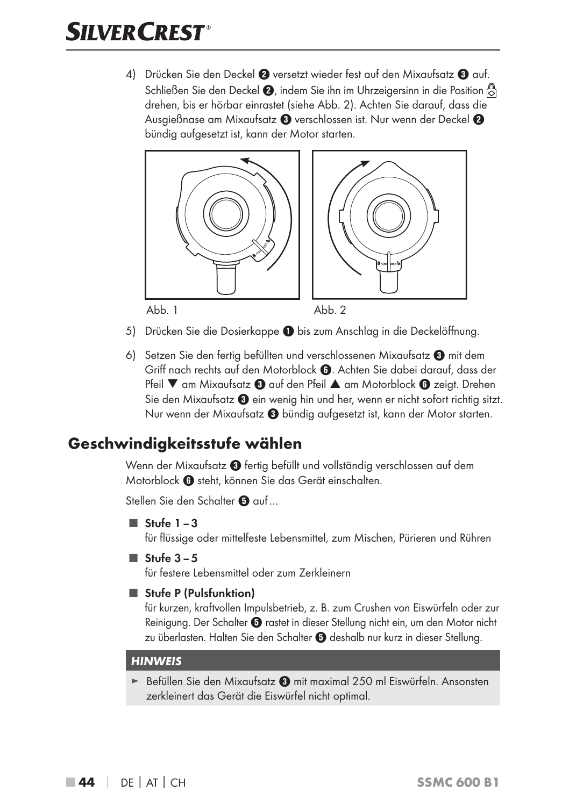4) Drücken Sie den Deckel @ versetzt wieder fest auf den Mixaufsatz @ auf. Schließen Sie den Deckel <sup>2</sup>. indem Sie ihn im Uhrzeigersinn in die Position <sup>(2)</sup> drehen, bis er hörbar einrastet (siehe Abb. 2). Achten Sie darauf, dass die Ausgießnase am Mixaufsatz <sup>3</sup> verschlossen ist. Nur wenn der Deckel <sup>3</sup> bündig aufgesetzt ist, kann der Motor starten.

![](_page_46_Figure_2.jpeg)

- 5) Drücken Sie die Dosierkappe <sup>1</sup> bis zum Anschlag in die Deckelöffnung.
	- 6) Setzen Sie den fertig befüllten und verschlossenen Mixaufsatz <sup>3</sup> mit dem Griff nach rechts auf den Motorblock  $\bigoplus$ . Achten Sie dabei darauf, dass der Pfeil ▼ am Mixaufsatz <sup>3</sup> auf den Pfeil ▲ am Motorblock <sup>3</sup> zeigt. Drehen Sie den Mixaufsatz  $\bigcirc$  ein wenig hin und her, wenn er nicht sofort richtig sitzt. Nur wenn der Mixaufsatz <sup>3</sup> bündig aufgesetzt ist, kann der Motor starten.

### Geschwindigkeitsstufe wählen

Wenn der Mixaufsatz <sup>3</sup> fertig befüllt und vollständig verschlossen auf dem Motorblock 6 steht, können Sie das Gerät einschalten.

Stellen Sie den Schalter **6** auf …

 $\blacksquare$  Stufe 1 – 3

für flüssige oder mittelfeste Lebensmittel, zum Mischen, Pürieren und Rühren

 $\blacksquare$  Stufe  $3 - 5$ 

für festere Lebensmittel oder zum Zerkleinern

#### ■ Stufe P (Pulsfunktion)

für kurzen, kraftvollen Impulsbetrieb, z. B. zum Crushen von Eiswürfeln oder zur Reinigung. Der Schalter  $\bigoplus$  rastet in dieser Stellung nicht ein, um den Motor nicht zu überlasten. Halten Sie den Schalter  $\bigoplus$  deshalb nur kurz in dieser Stellung.

#### **HINWEIS**

► Befüllen Sie den Mixaufsatz <sup>3</sup> mit maximal 250 ml Eiswürfeln. Ansonsten zerkleinert das Gerät die Eiswürfel nicht optimal.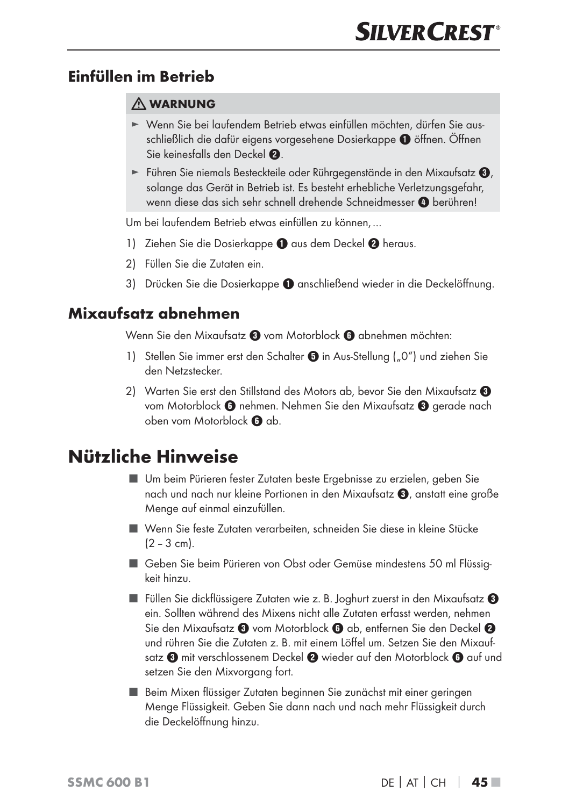### Einfüllen im Betrieb

#### A WARNUNG

- ► Wenn Sie bei laufendem Betrieb etwas einfüllen möchten, dürfen Sie ausschließlich die dafür eigens vorgesehene Dosierkappe @ öffnen. Öffnen Sie keinesfalls den Deckel <sup>2</sup>.
- ► Führen Sie niemals Besteckteile oder Rührgegenstände in den Mixaufsatz <sup>3</sup>, solange das Gerät in Betrieb ist. Es besteht erhebliche Verletzungsgefahr, wenn diese das sich sehr schnell drehende Schneidmesser @ berühren!

Um bei laufendem Betrieb etwas einfüllen zu können, …

- 1) Ziehen Sie die Dosierkappe 1 aus dem Deckel 2 heraus.
- 2) Füllen Sie die Zutaten ein.
- 3) Drücken Sie die Dosierkappe @ anschließend wieder in die Deckelöffnung.

### Mixaufsatz abnehmen

Wenn Sie den Mixaufsatz <sup>3</sup> vom Motorblock **6 abnehmen möchten:** 

- 1) Stellen Sie immer erst den Schalter  $\bullet$  in Aus-Stellung ("0") und ziehen Sie den Netzstecker.
- 2) Warten Sie erst den Stillstand des Motors ab, bevor Sie den Mixaufsatz  $\bigcirc$ vom Motorblock  $\bigcirc$  nehmen. Nehmen Sie den Mixaufsatz  $\bigcirc$  gerade nach oben vom Motorblock 6 ab.

## Nützliche Hinweise

- Um beim Pürieren fester Zutaten beste Ergebnisse zu erzielen, geben Sie nach und nach nur kleine Portionen in den Mixaufsatz <sup>3</sup>, anstatt eine große Menge auf einmal einzufüllen.
- Wenn Sie feste Zutaten verarbeiten, schneiden Sie diese in kleine Stücke  $(2 - 3$  cm).
- Geben Sie beim Pürieren von Obst oder Gemüse mindestens 50 ml Flüssigkeit hinzu.
- Füllen Sie dickflüssigere Zutaten wie z. B. Joghurt zuerst in den Mixaufsatz  $\bigcirc$ ein. Sollten während des Mixens nicht alle Zutaten erfasst werden, nehmen Sie den Mixaufsatz <sup>3</sup> vom Motorblock **6** ab, entfernen Sie den Deckel **2** und rühren Sie die Zutaten z. B. mit einem Löffel um. Setzen Sie den Mixaufsatz <sup>3</sup> mit verschlossenem Deckel <sup>2</sup> wieder auf den Motorblock <sup>3</sup> auf und setzen Sie den Mixvorgang fort.
- Beim Mixen flüssiger Zutaten beginnen Sie zunächst mit einer geringen Menge Flüssigkeit. Geben Sie dann nach und nach mehr Flüssigkeit durch die Deckelöffnung hinzu.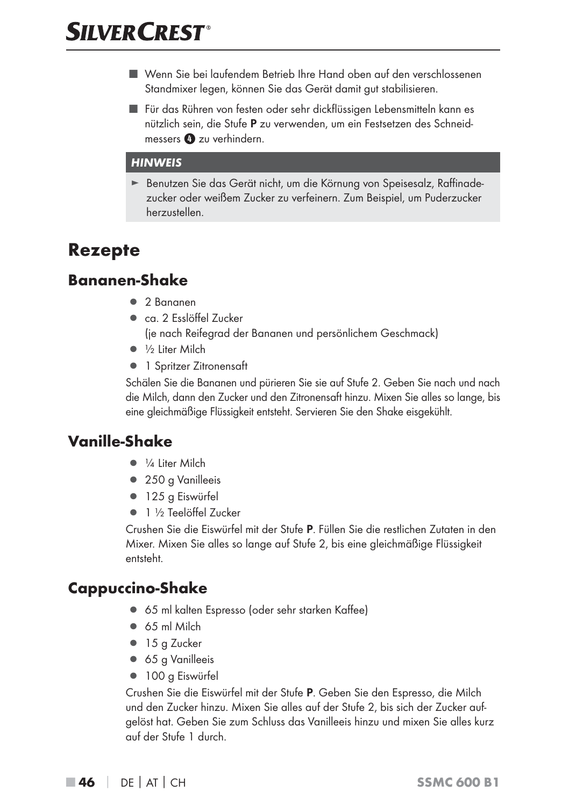- Wenn Sie bei laufendem Betrieb Ihre Hand oben auf den verschlossenen Standmixer legen, können Sie das Gerät damit gut stabilisieren.
- Für das Rühren von festen oder sehr dickflüssigen Lebensmitteln kann es nützlich sein, die Stufe P zu verwenden, um ein Festsetzen des Schneidmessers **4** zu verhindern.

#### **HINWEIS**

► Benutzen Sie das Gerät nicht, um die Körnung von Speisesalz, Raffinadezucker oder weißem Zucker zu verfeinern. Zum Beispiel, um Puderzucker herzustellen.

### Rezepte

#### Bananen-Shake

- 2 Bananen
- ca. 2 Esslöffel Zucker (je nach Reifegrad der Bananen und persönlichem Geschmack)
- ½ Liter Milch
- 1 Spritzer Zitronensaft

Schälen Sie die Bananen und pürieren Sie sie auf Stufe 2. Geben Sie nach und nach die Milch, dann den Zucker und den Zitronensaft hinzu. Mixen Sie alles so lange, bis eine gleichmäßige Flüssigkeit entsteht. Servieren Sie den Shake eisgekühlt.

#### Vanille-Shake

- $\bullet$   $\frac{1}{4}$  Liter Milch
- 250 g Vanilleeis
- 125 g Eiswürfel
- 1 ½ Teelöffel Zucker

Crushen Sie die Eiswürfel mit der Stufe P. Füllen Sie die restlichen Zutaten in den Mixer. Mixen Sie alles so lange auf Stufe 2, bis eine gleichmäßige Flüssigkeit entsteht.

### Cappuccino-Shake

- 65 ml kalten Espresso (oder sehr starken Kaffee)
- 65 ml Milch
- 15 g Zucker
- 65 g Vanilleeis
- 100 g Eiswürfel

Crushen Sie die Eiswürfel mit der Stufe P. Geben Sie den Espresso, die Milch und den Zucker hinzu. Mixen Sie alles auf der Stufe 2, bis sich der Zucker aufgelöst hat. Geben Sie zum Schluss das Vanilleeis hinzu und mixen Sie alles kurz auf der Stufe 1 durch.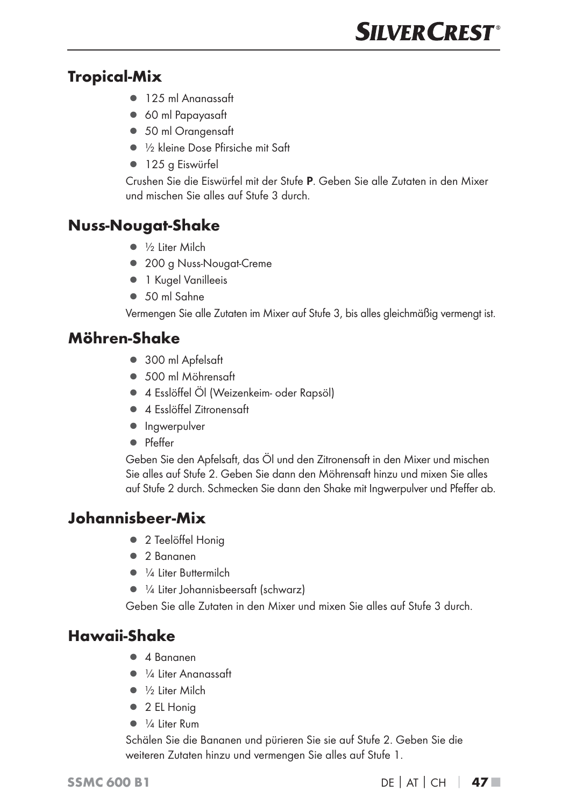### Tropical-Mix

- 125 ml Ananassaft
- 60 ml Papayasaft
- 50 ml Orangensaft
- ½ kleine Dose Pfirsiche mit Saft
- 125 g Eiswürfel

Crushen Sie die Eiswürfel mit der Stufe P. Geben Sie alle Zutaten in den Mixer und mischen Sie alles auf Stufe 3 durch.

### Nuss-Nougat-Shake

- ½ Liter Milch
- 200 g Nuss-Nougat-Creme
- 1 Kugel Vanilleeis
- 50 ml Sahne

Vermengen Sie alle Zutaten im Mixer auf Stufe 3, bis alles gleichmäßig vermengt ist.

### Möhren-Shake

- 300 ml Apfelsaft
- 500 ml Möhrensaft
- 4 Esslöffel Öl (Weizenkeim- oder Rapsöl)
- 4 Esslöffel Zitronensaft
- Ingwerpulver
- Pfeffer

Geben Sie den Apfelsaft, das Öl und den Zitronensaft in den Mixer und mischen Sie alles auf Stufe 2. Geben Sie dann den Möhrensaft hinzu und mixen Sie alles auf Stufe 2 durch. Schmecken Sie dann den Shake mit Ingwerpulver und Pfeffer ab.

### Johannisbeer-Mix

- 2 Teelöffel Honig
- 2 Bananen
- ¼ Liter Buttermilch
- ¼ Liter Johannisbeersaft (schwarz)

Geben Sie alle Zutaten in den Mixer und mixen Sie alles auf Stufe 3 durch.

### Hawaii-Shake

- 4 Bananen
- ¼ Liter Ananassaft
- ½ Liter Milch
- 2 EL Honig
- ¼ Liter Rum

Schälen Sie die Bananen und pürieren Sie sie auf Stufe 2. Geben Sie die weiteren Zutaten hinzu und vermengen Sie alles auf Stufe 1.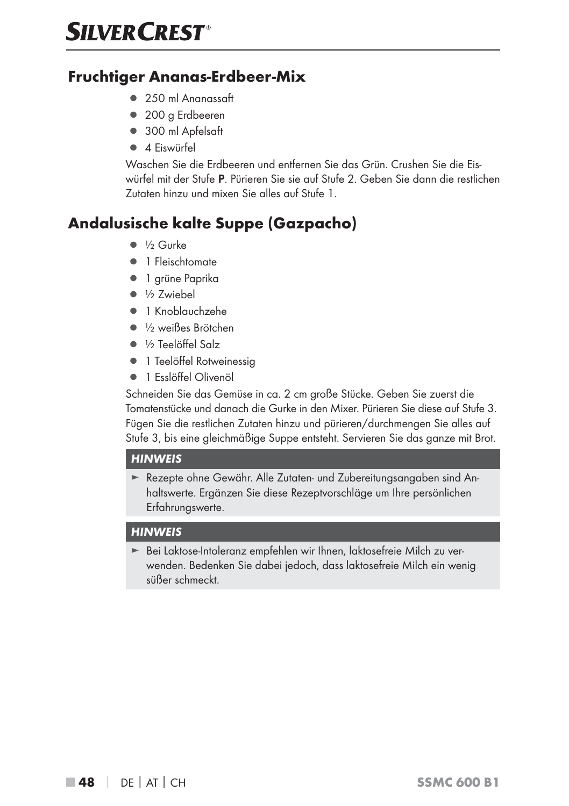### Fruchtiger Ananas-Erdbeer-Mix

- 250 ml Ananassaft
- 200 g Erdbeeren
- 300 ml Apfelsaft
- 4 Fiswürfel

Waschen Sie die Erdbeeren und entfernen Sie das Grün. Crushen Sie die Eiswürfel mit der Stufe P. Pürieren Sie sie auf Stufe 2. Geben Sie dann die restlichen Zutaten hinzu und mixen Sie alles auf Stufe 1.

### Andalusische kalte Suppe (Gazpacho)

- $\bullet$  ½ Gurke
- 1 Fleischtomate
- 1 grüne Paprika
- ½ Zwiebel
- 1 Knoblauchzehe
- ▯ ½ weißes Brötchen
- 1/<sub>2</sub> Teelöffel Salz
- 1 Teelöffel Rotweinessig
- ▯ 1 Esslöffel Olivenöl

Schneiden Sie das Gemüse in ca. 2 cm große Stücke. Geben Sie zuerst die To maten stücke und danach die Gurke in den Mixer. Pürieren Sie diese auf Stufe 3. Fügen Sie die restlichen Zutaten hinzu und pürieren/durchmengen Sie alles auf Stufe 3, bis eine gleichmäßige Suppe entsteht. Servieren Sie das ganze mit Brot.

#### **HINWEIS**

► Rezepte ohne Gewähr. Alle Zutaten- und Zubereitungsangaben sind Anhaltswerte. Ergänzen Sie diese Rezeptvorschläge um Ihre persönlichen Erfahrungswerte.

#### **HINWEIS**

► Bei Laktose-Intoleranz empfehlen wir Ihnen, laktosefreie Milch zu verwenden. Bedenken Sie dabei jedoch, dass laktosefreie Milch ein wenig süßer schmeckt.

■ 48 │ DE│AT│CH SSMC 600 B1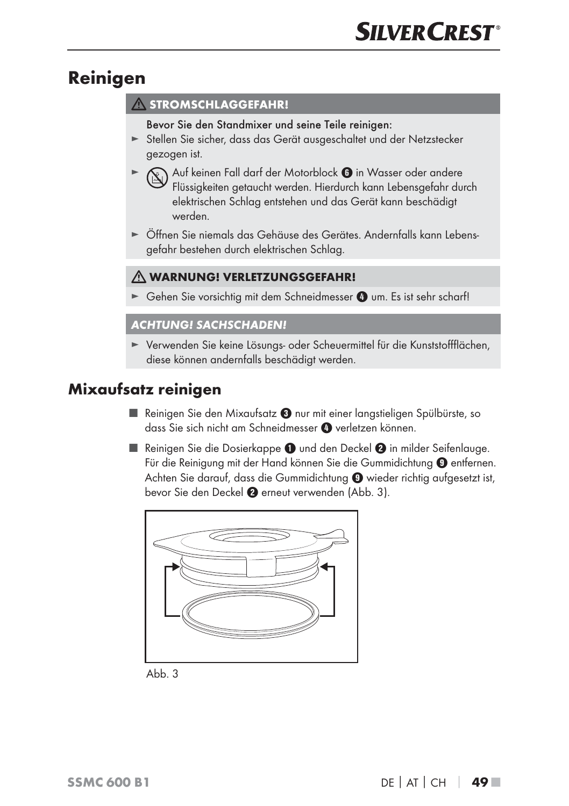### Reinigen

#### **A STROMSCHLAGGEFAHR!**

Bevor Sie den Standmixer und seine Teile reinigen:

- ► Stellen Sie sicher, dass das Gerät ausgeschaltet und der Netzstecker gezogen ist.
- ► Auf keinen Fall darf der Motorblock 6 in Wasser oder andere Flüssig keiten getaucht werden. Hierdurch kann Lebensgefahr durch elektrischen Schlag entstehen und das Gerät kann beschädigt werden.
- ► Öffnen Sie niemals das Gehäuse des Gerätes. Andernfalls kann Lebensgefahr bestehen durch elektrischen Schlag.

#### WARNUNG! VERLETZUNGSGEFAHR!

► Gehen Sie vorsichtig mit dem Schneidmesser ( um. Es ist sehr scharf!

#### ACHTUNG! SACHSCHADEN!

► Verwenden Sie keine Lösungs- oder Scheuermittel für die Kunststoffflächen, diese können andernfalls beschädigt werden.

### Mixaufsatz reinigen

- Reinigen Sie den Mixaufsatz <sup>3</sup> nur mit einer langstieligen Spülbürste, so dass Sie sich nicht am Schneidmesser 4 verletzen können.
- Reinigen Sie die Dosierkappe und den Deckel in milder Seifenlauge. Für die Reinigung mit der Hand können Sie die Gummidichtung @ entfernen. Achten Sie darauf, dass die Gummidichtung @ wieder richtig aufgesetzt ist, bevor Sie den Deckel @ erneut verwenden (Abb. 3).

![](_page_51_Figure_14.jpeg)

Abb. 3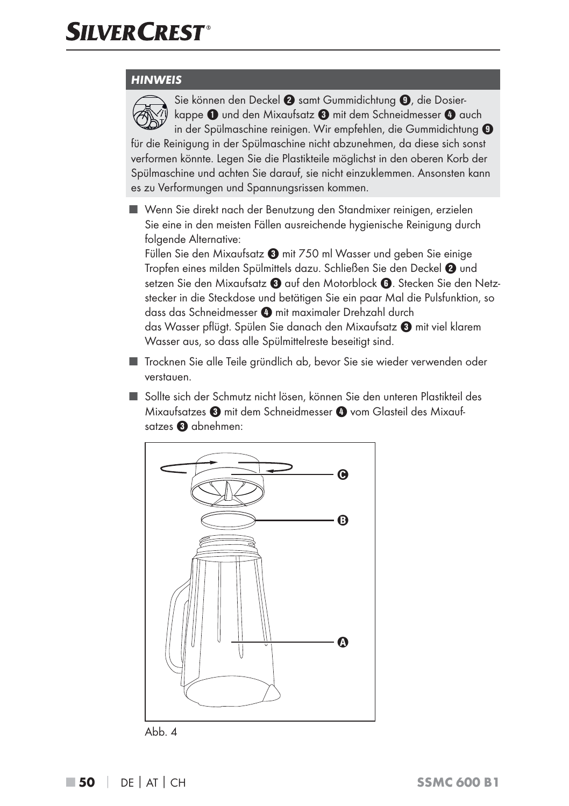#### **HINWEIS**

![](_page_52_Picture_2.jpeg)

Sie können den Deckel 2 samt Gummidichtung <sup>9</sup>. die Dosierkappe  $\bullet$  und den Mixaufsatz  $\bullet$  mit dem Schneidmesser  $\bullet$  auch in der Spülmaschine reinigen. Wir empfehlen, die Gummidichtung  $\boldsymbol{\Theta}$ für die Reinigung in der Spülmaschine nicht abzunehmen, da diese sich sonst verformen könnte. Legen Sie die Plastikteile möglichst in den oberen Korb der Spülmaschine und achten Sie darauf, sie nicht einzuklemmen. Ansonsten kann es zu Verformungen und Spannungsrissen kommen.

■ Wenn Sie direkt nach der Benutzung den Standmixer reinigen, erzielen Sie eine in den meisten Fällen ausreichende hygienische Reinigung durch folgende Alternative:

Füllen Sie den Mixaufsatz <sup>3</sup> mit 750 ml Wasser und geben Sie einige Tropfen eines milden Spülmittels dazu. Schließen Sie den Deckel @ und setzen Sie den Mixaufsatz <sup>3</sup> auf den Motorblock <sup>3</sup>. Stecken Sie den Netzstecker in die Steckdose und betätigen Sie ein paar Mal die Pulsfunktion, so dass das Schneidmesser @ mit maximaler Drehzahl durch das Wasser pflügt. Spülen Sie danach den Mixaufsatz <sup>3</sup> mit viel klarem Wasser aus, so dass alle Spülmittelreste beseitigt sind.

- Trocknen Sie alle Teile gründlich ab, bevor Sie sie wieder verwenden oder verstauen.
- Sollte sich der Schmutz nicht lösen, können Sie den unteren Plastikteil des Mixaufsatzes <sup>3</sup> mit dem Schneidmesser <sup>3</sup> vom Glasteil des Mixaufsatzes <sup>3</sup> abnehmen:

![](_page_52_Figure_8.jpeg)

Abb. 4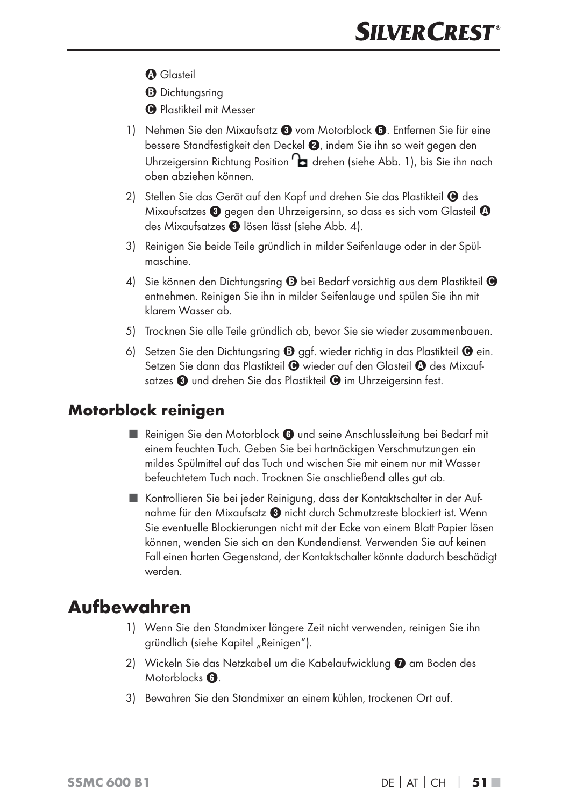- **A** Glasteil
- **B** Dichtungsring
- C Plastikteil mit Messer
- 1) Nehmen Sie den Mixaufsatz <sup>3</sup> vom Motorblock <sup>3</sup>. Entfernen Sie für eine bessere Standfestigkeit den Deckel 2, indem Sie ihn so weit gegen den Uhrzeigersinn Richtung Position  $\mathbf \Omega$  drehen (siehe Abb. 1), bis Sie ihn nach oben abziehen können.
- 2) Stellen Sie das Gerät auf den Kopf und drehen Sie das Plastikteil @ des Mixaufsatzes <sup>3</sup> gegen den Uhrzeigersinn, so dass es sich vom Glasteil <sup>3</sup> des Mixaufsatzes <sup>3</sup> lösen lässt (siehe Abb. 4).
- 3) Reinigen Sie beide Teile gründlich in milder Seifenlauge oder in der Spülmaschine.
- 4) Sie können den Dichtungsring  $\bm{\Theta}$  bei Bedarf vorsichtig aus dem Plastikteil  $\bm{\Theta}$ entnehmen. Reinigen Sie ihn in milder Seifenlauge und spülen Sie ihn mit klarem Wasser ab.
- 5) Trocknen Sie alle Teile gründlich ab, bevor Sie sie wieder zusammenbauen.
- 6) Setzen Sie den Dichtungsring  $\bm{\Theta}$  ggf. wieder richtig in das Plastikteil  $\bm{\Theta}$  ein. Setzen Sie dann das Plastikteil @ wieder auf den Glasteil @ des Mixaufsatzes <sup>3</sup> und drehen Sie das Plastikteil <sup>3</sup> im Uhrzeigersinn fest.

### Motorblock reinigen

- Reinigen Sie den Motorblock **■** Reinigen Sie den Motorblock

Reinigen Sie den Motorblock

einem feuchten Tuch. Geben Sie bei hartnäckigen Verschmutzungen ein mildes Spülmittel auf das Tuch und wischen Sie mit einem nur mit Wasser befeuchtetem Tuch nach. Trocknen Sie anschließend alles gut ab.
- Kontrollieren Sie bei jeder Reinigung, dass der Kontaktschalter in der Aufnahme für den Mixaufsatz <sup>3</sup> nicht durch Schmutzreste blockiert ist. Wenn Sie eventuelle Blockierungen nicht mit der Ecke von einem Blatt Papier lösen können, wenden Sie sich an den Kundendienst. Verwenden Sie auf keinen Fall einen harten Gegenstand, der Kontaktschalter könnte dadurch beschädigt werden.

### Aufbewahren

- 1) Wenn Sie den Standmixer längere Zeit nicht verwenden, reinigen Sie ihn gründlich (siehe Kapitel "Reinigen").
- 2) Wickeln Sie das Netzkabel um die Kabelaufwicklung @ am Boden des Motorblocks **n**
- 3) Bewahren Sie den Standmixer an einem kühlen, trockenen Ort auf.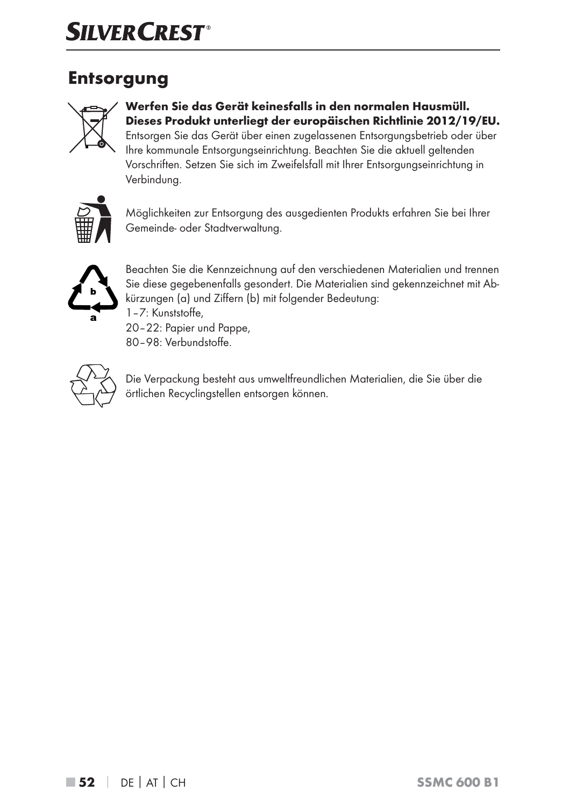## Entsorgung

![](_page_54_Picture_2.jpeg)

Werfen Sie das Gerät keinesfalls in den normalen Hausmüll. Dieses Produkt unterliegt der europäischen Richtlinie 2012/19/EU. Entsorgen Sie das Gerät über einen zugelassenen Entsorgungsbetrieb oder über Ihre kommunale Entsorgungseinrichtung. Beachten Sie die aktuell geltenden Vorschriften. Setzen Sie sich im Zweifelsfall mit Ihrer Entsorgungseinrichtung in Verbindung.

![](_page_54_Picture_4.jpeg)

Möglichkeiten zur Entsorgung des ausgedienten Produkts erfahren Sie bei Ihrer Gemeinde- oder Stadtverwaltung.

![](_page_54_Picture_6.jpeg)

 Beachten Sie die Kennzeichnung auf den verschiedenen Materialien und trennen Sie diese gegebenenfalls gesondert. Die Materialien sind gekennzeichnet mit Abkürzungen (a) und Ziffern (b) mit folgender Bedeutung: 1–7: Kunststoffe,

20–22: Papier und Pappe,

80–98: Verbundstoffe.

![](_page_54_Picture_10.jpeg)

Die Verpackung besteht aus umweltfreundlichen Materialien, die Sie über die örtlichen Recyclingstellen entsorgen können.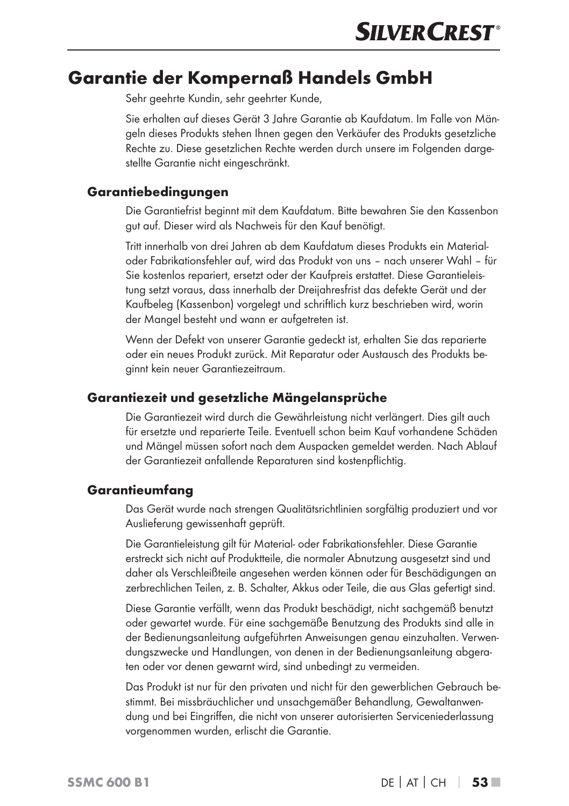### Garantie der Kompernaß Handels GmbH

Sehr geehrte Kundin, sehr geehrter Kunde,

Sie erhalten auf dieses Gerät 3 Jahre Garantie ab Kaufdatum. Im Falle von Mängeln dieses Produkts stehen Ihnen gegen den Verkäufer des Produkts gesetzliche Rechte zu. Diese gesetzlichen Rechte werden durch unsere im Folgenden dargestellte Garantie nicht eingeschränkt.

#### Garantiebedingungen

Die Garantiefrist beginnt mit dem Kaufdatum. Bitte bewahren Sie den Kassenbon gut auf. Dieser wird als Nachweis für den Kauf benötigt.

Tritt innerhalb von drei Jahren ab dem Kaufdatum dieses Produkts ein Materialoder Fabrikationsfehler auf, wird das Produkt von uns – nach unserer Wahl – für Sie kostenlos repariert, ersetzt oder der Kaufpreis erstattet. Diese Garantieleistung setzt voraus, dass innerhalb der Dreijahresfrist das defekte Gerät und der Kaufbeleg (Kassenbon) vorgelegt und schriftlich kurz beschrieben wird, worin der Mangel besteht und wann er aufgetreten ist.

Wenn der Defekt von unserer Garantie gedeckt ist, erhalten Sie das reparierte oder ein neues Produkt zurück. Mit Reparatur oder Austausch des Produkts beginnt kein neuer Garantiezeitraum.

#### Garantiezeit und gesetzliche Mängelansprüche

Die Garantiezeit wird durch die Gewährleistung nicht verlängert. Dies gilt auch für ersetzte und reparierte Teile. Eventuell schon beim Kauf vorhandene Schäden und Mängel müssen sofort nach dem Auspacken gemeldet werden. Nach Ablauf der Garantiezeit anfallende Reparaturen sind kostenpflichtig.

#### Garantieumfang

Das Gerät wurde nach strengen Qualitätsrichtlinien sorgfältig produziert und vor Auslieferung gewissenhaft geprüft.

Die Garantieleistung gilt für Material- oder Fabrikationsfehler. Diese Garantie erstreckt sich nicht auf Produktteile, die normaler Abnutzung ausgesetzt sind und daher als Verschleißteile angesehen werden können oder für Beschädigungen an zerbrechlichen Teilen, z. B. Schalter, Akkus oder Teile, die aus Glas gefertigt sind.

Diese Garantie verfällt, wenn das Produkt beschädigt, nicht sachgemäß benutzt oder gewartet wurde. Für eine sachgemäße Benutzung des Produkts sind alle in der Bedienungsanleitung aufgeführten Anweisungen genau einzuhalten. Verwendungszwecke und Handlungen, von denen in der Bedienungsanleitung abgeraten oder vor denen gewarnt wird, sind unbedingt zu vermeiden.

Das Produkt ist nur für den privaten und nicht für den gewerblichen Gebrauch bestimmt. Bei missbräuchlicher und unsachgemäßer Behandlung, Gewaltanwendung und bei Eingriffen, die nicht von unserer autorisierten Serviceniederlassung vorgenommen wurden, erlischt die Garantie.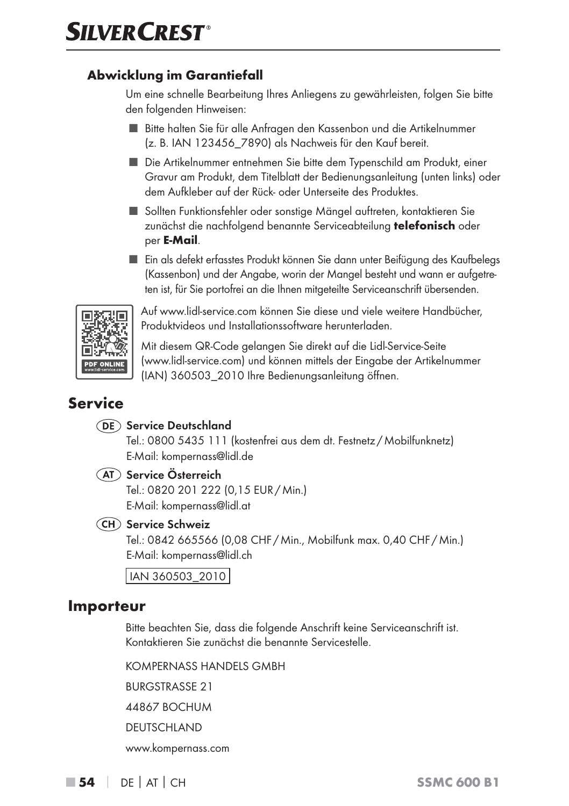#### Abwicklung im Garantiefall

Um eine schnelle Bearbeitung Ihres Anliegens zu gewährleisten, folgen Sie bitte den folgenden Hinweisen:

- Bitte halten Sie für alle Anfragen den Kassenbon und die Artikelnummer (z. B. IAN 123456\_7890) als Nachweis für den Kauf bereit.
- Die Artikelnummer entnehmen Sie bitte dem Typenschild am Produkt, einer Gravur am Produkt, dem Titelblatt der Bedienungsanleitung (unten links) oder dem Aufkleber auf der Rück- oder Unterseite des Produktes.
- Sollten Funktionsfehler oder sonstige Mängel auftreten, kontaktieren Sie zunächst die nachfolgend benannte Serviceabteilung **telefonisch** oder per E-Mail.
- Ein als defekt erfasstes Produkt können Sie dann unter Beifügung des Kaufbelegs (Kassenbon) und der Angabe, worin der Mangel besteht und wann er aufgetreten ist, für Sie portofrei an die Ihnen mitgeteilte Serviceanschrift übersenden.

![](_page_56_Picture_7.jpeg)

 Auf www.lidl-service.com können Sie diese und viele weitere Handbücher, Produktvideos und Installationssoftware herunterladen.

 Mit diesem QR-Code gelangen Sie direkt auf die Lidl-Service-Seite (www.lidl-service.com) und können mittels der Eingabe der Artikelnummer (IAN) 360503 2010 Ihre Bedienungsanleitung öffnen.

### Service

#### (DE) Service Deutschland

Tel.: 0800 5435 111 (kostenfrei aus dem dt. Festnetz / Mobilfunknetz) E-Mail: kompernass@lidl.de

#### Service Österreich

Tel.: 0820 201 222 (0,15 EUR / Min.) E-Mail: kompernass@lidl.at

#### (CH) Service Schweiz

Tel.: 0842 665566 (0,08 CHF / Min., Mobilfunk max. 0,40 CHF / Min.) E-Mail: kompernass@lidl.ch

IAN 360503\_2010

#### Importeur

Bitte beachten Sie, dass die folgende Anschrift keine Serviceanschrift ist. Kontaktieren Sie zunächst die benannte Servicestelle.

KOMPERNASS HANDELS GMBH

BURGSTRASSE 21

44867 BOCHUM

DEUTSCHLAND

www.kompernass.com